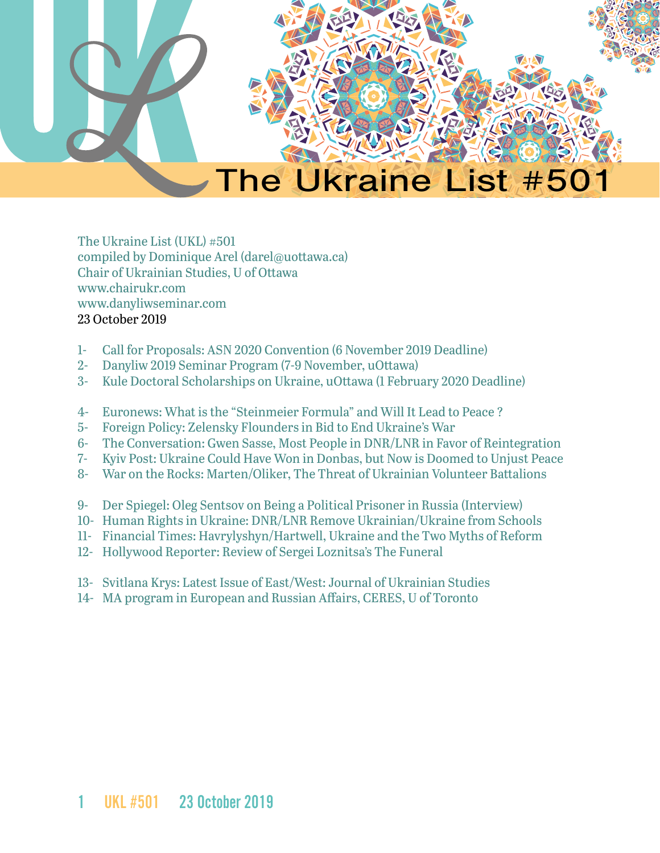

The Ukraine List (UKL) #501 compiled by Dominique Arel (darel@uottawa.ca) Chair of Ukrainian Studies, U of Ottawa [www.chairukr.com](http://www.chairukr.com) [www.danyliwseminar.com](http://www.danyliwseminar.com) 23 October 2019

- <span id="page-0-0"></span>1- [Call for Proposals: ASN 2020 Convention \(6 November 2019 Deadline\)](#page-1-0)
- 2- [Danyliw 2019 Seminar Program \(7-9 November, uOttawa\)](#page-4-0)
- 3- [Kule Doctoral Scholarships on Ukraine, uOttawa \(1 February 2020 Deadline\)](#page-8-0)
- 4- Euronews: What is the "Steinmeier Formula" and Will It Lead to Peace ?
- 5- [Foreign Policy: Zelensky Flounders in Bid to End Ukraine's War](#page-11-0)
- 6- [The Conversation: Gwen Sasse, Most People in DNR/LNR in Favor of Reintegration](#page-14-0)
- 7- [Kyiv Post: Ukraine Could Have Won in Donbas, but Now is Doomed to Unjust Peace](#page-16-0)
- 8- War on the Rocks: Marten/Oliker, The Threat of Ukrainian Volunteer Battalions
- 9- Der Spiegel: Oleg Sentsov on Being a Political Prisoner in Russia (Interview)
- 10- Human Rights in Ukraine: DNR/LNR Remove Ukrainian/Ukraine from Schools
- 11- [Financial Times: Havrylyshyn/Hartwell, Ukraine and the Two Myths of Reform](#page-34-0)
- 12- [Hollywood Reporter: Review of Sergei Loznitsa's The Funeral](#page-37-0)
- 13- [Svitlana Krys: Latest Issue of East/West: Journal of Ukrainian Studies](#page-39-0)
- 14- [MA program in European and Russian Affairs, CERES, U of Toronto](#page-40-0)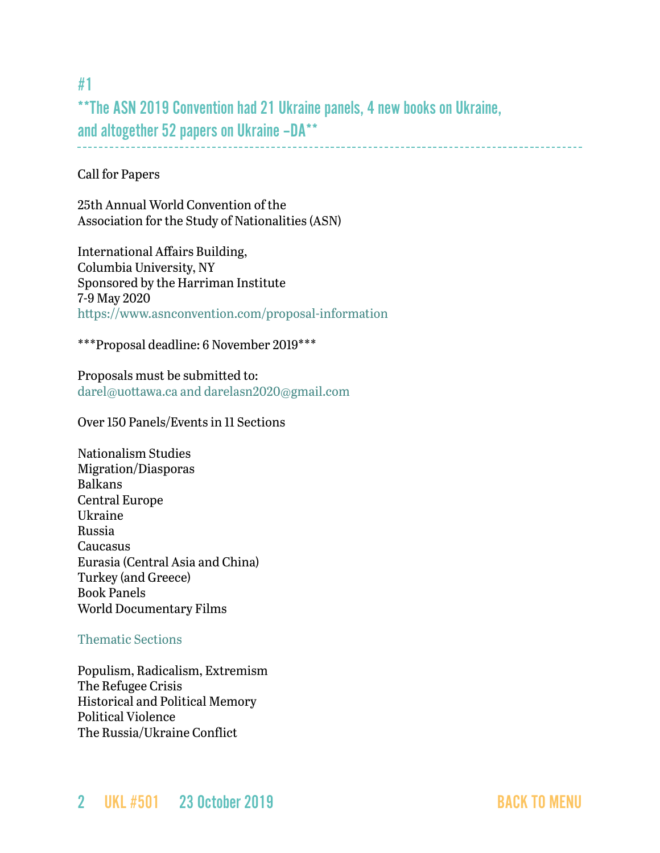### <span id="page-1-0"></span>#1

\*\*The ASN 2019 Convention had 21 Ukraine panels, 4 new books on Ukraine, and altogether 52 papers on Ukraine –DA\*\*

Call for Papers

25th Annual World Convention of the Association for the Study of Nationalities (ASN)

International Affairs Building, Columbia University, NY Sponsored by the Harriman Institute 7-9 May 2020 <https://www.asnconvention.com/proposal-information> 

\*\*\*Proposal deadline: 6 November 2019\*\*\*

Proposals must be submitted to: [darel@uottawa.ca](mailto:darel@uottawa.ca) and [darelasn2020@gmail.com](mailto:darelasn19@gmail.com)

[Over 150 Panels/Events in 11 Sections](https://www.asnconvention.com/eleven-sections)

Nationalism Studies Migration/Diasporas Balkans Central Europe Ukraine Russia Caucasus Eurasia (Central Asia and China) Turkey (and Greece) Book Panels World Documentary Films

#### [Thematic Sections](https://www.asnconvention.com/thematic-sections)

Populism, Radicalism, Extremism The Refugee Crisis Historical and Political Memory Political Violence The Russia/Ukraine Conflict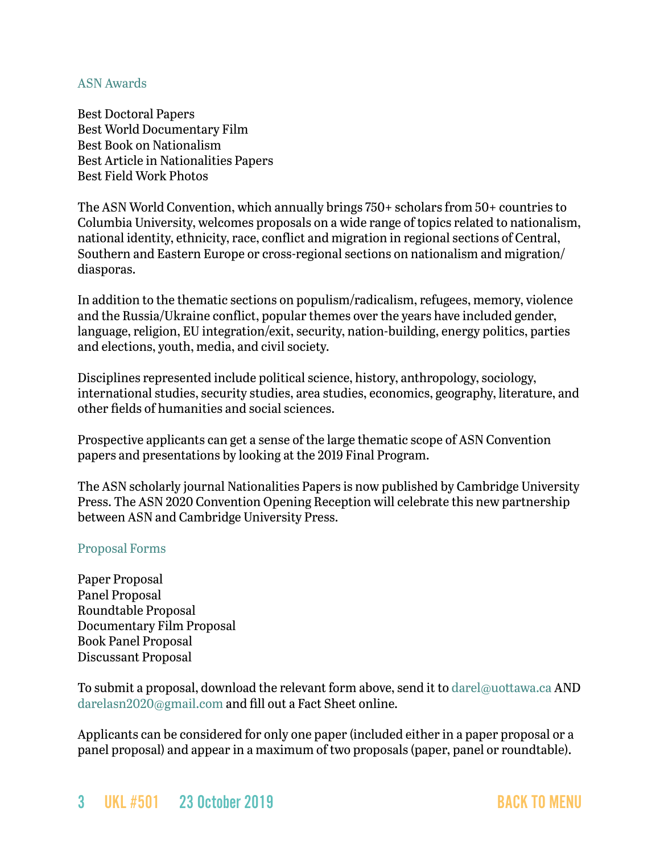#### [ASN Awards](https://www.asnconvention.com/asn-awards)

Best Doctoral Papers Best World Documentary Film Best Book on Nationalism Best Article in Nationalities Papers Best Field Work Photos

The ASN World Convention, which annually brings 750+ scholars from 50+ countries to Columbia University, welcomes proposals on a wide range of topics related to nationalism, national identity, ethnicity, race, conflict and migration in regional sections of Central, Southern and Eastern Europe or cross-regional sections on nationalism and migration/ diasporas.

In addition to the thematic sections on populism/radicalism, refugees, memory, violence and the Russia/Ukraine conflict, popular themes over the years have included gender, language, religion, EU integration/exit, security, nation-building, energy politics, parties and elections, youth, media, and civil society.

Disciplines represented include political science, history, anthropology, sociology, international studies, security studies, area studies, economics, geography, literature, and other fields of humanities and social sciences.

Prospective applicants can get a sense of the large thematic scope of ASN Convention papers and presentations by looking at the 2019 Final Program.

The ASN scholarly journal Nationalities Papers is now published by Cambridge University Press. The ASN 2020 Convention Opening Reception will celebrate this new partnership between ASN and Cambridge University Press.

#### [Proposal Forms](https://www.asnconvention.com/proposals)

Paper Proposal Panel Proposal Roundtable Proposal Documentary Film Proposal Book Panel Proposal Discussant Proposal

To submit a proposal, download the relevant form above, send it to [darel@uottawa.ca](mailto:darel@uottawa.ca) AND [darelasn2020@gmail.com](mailto:darelasn2020@gmail.com) and fill out a [Fact Sheet o](https://www.surveymonkey.com/r/asn2019)nline.

Applicants can be considered for only one paper (included either in a paper proposal or a panel proposal) and appear in a maximum of two proposals (paper, panel or roundtable).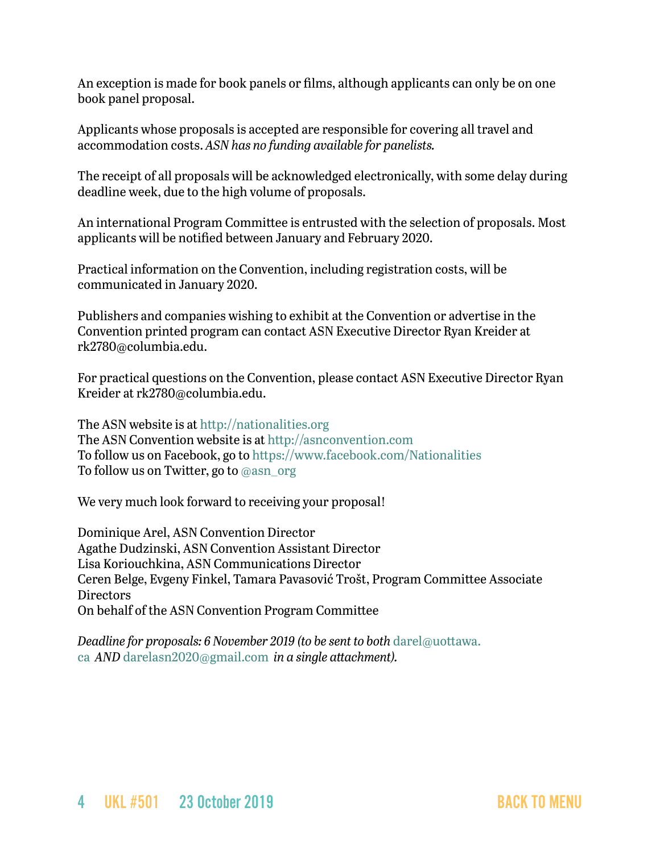An exception is made for book panels or films, although applicants can only be on one book panel proposal.

Applicants whose proposals is accepted are responsible for covering all travel and accommodation costs. *ASN has no funding available for panelists.*

The receipt of all proposals will be acknowledged electronically, with some delay during deadline week, due to the high volume of proposals.

An international Program Committee is entrusted with the selection of proposals. Most applicants will be notified between January and February 2020.

Practical information on the Convention, including registration costs, will be communicated in January 2020.

Publishers and companies wishing to exhibit at the Convention or advertise in the Convention printed program can contact ASN Executive Director Ryan Kreider at [rk2780@columbia.edu](mailto:rk2780@columbia.edu).

For practical questions on the Convention, please contact ASN Executive Director Ryan Kreider at [rk2780@columbia.edu.](mailto:rk2780@columbia.edu)

The ASN website is at [http://nationalities.org](http://nationalities.org/) The ASN Convention website is at [http://asnconvention.com](http://asnconvention.com/) To follow us on Facebook, go to<https://www.facebook.com/Nationalities> To follow us on Twitter, go to [@asn\\_org](https://twitter.com/ASN_Org?lang=en)

We very much look forward to receiving your proposal!

Dominique Arel, ASN Convention Director Agathe Dudzinski, ASN Convention Assistant Director Lisa Koriouchkina, ASN Communications Director Ceren Belge, Evgeny Finkel, Tamara Pavasović Trošt, Program Committee Associate **Directors** On behalf of the ASN Convention Program Committee

*Deadline for proposals: 6 November 2019 (to be sent to both [darel@uottawa.](mailto:darel@uottawa.ca)* [ca](mailto:darel@uottawa.ca)  *AND* darelasn2020@gmail.com *in a single attachment).*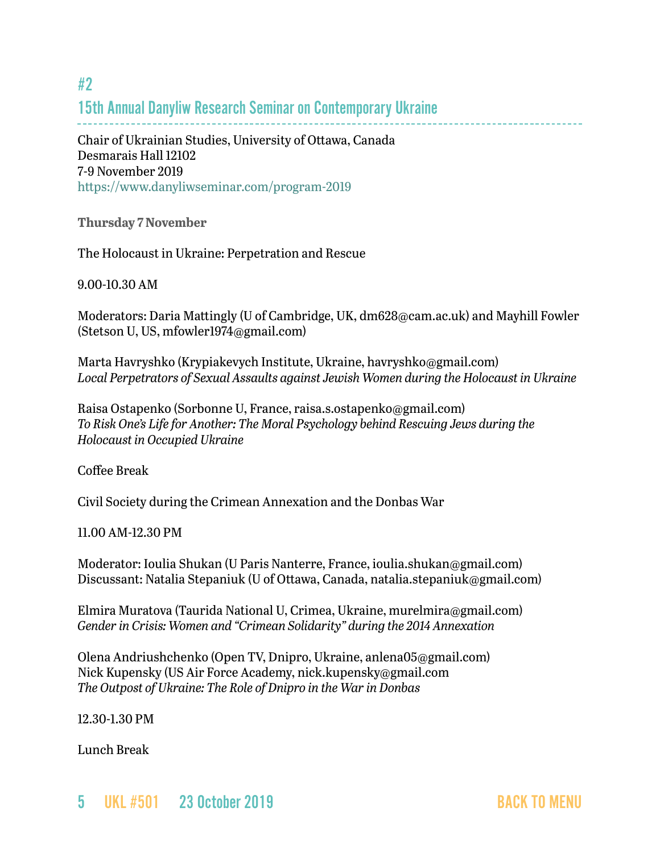# 15th Annual Danyliw Research Seminar on Contemporary Ukraine

Chair of Ukrainian Studies, University of Ottawa, Canada Desmarais Hall 12102 7-9 November 2019 <https://www.danyliwseminar.com/program-2019>

**Thursday 7 November**

The Holocaust in Ukraine: Perpetration and Rescue

9.00-10.30 AM

Moderators: Daria Mattingly (U of Cambridge, UK, dm628@cam.ac.uk) and Mayhill Fowler (Stetson U, US, mfowler1974@gmail.com)

Marta Havryshko (Krypiakevych Institute, Ukraine, havryshko@gmail.com) *Local Perpetrators of Sexual Assaults against Jewish Women during the Holocaust in Ukraine*

Raisa Ostapenko (Sorbonne U, France, raisa.s.ostapenko@gmail.com) *To Risk One's Life for Another: The Moral Psychology behind Rescuing Jews during the Holocaust in Occupied Ukraine*

Coffee Break

Civil Society during the Crimean Annexation and the Donbas War

11.00 AM-12.30 PM

Moderator: Ioulia Shukan (U Paris Nanterre, France, ioulia.shukan@gmail.com) Discussant: Natalia Stepaniuk (U of Ottawa, Canada, natalia.stepaniuk@gmail.com)

Elmira Muratova (Taurida National U, Crimea, Ukraine, murelmira@gmail.com) *Gender in Crisis: Women and "Crimean Solidarity" during the 2014 Annexation*

Olena Andriushchenko (Open TV, Dnipro, Ukraine, anlena05@gmail.com) Nick Kupensky (US Air Force Academy, nick.kupensky@gmail.com *The Outpost of Ukraine: The Role of Dnipro in the War in Donbas*

12.30-1.30 PM

Lunch Break

<span id="page-4-0"></span>#2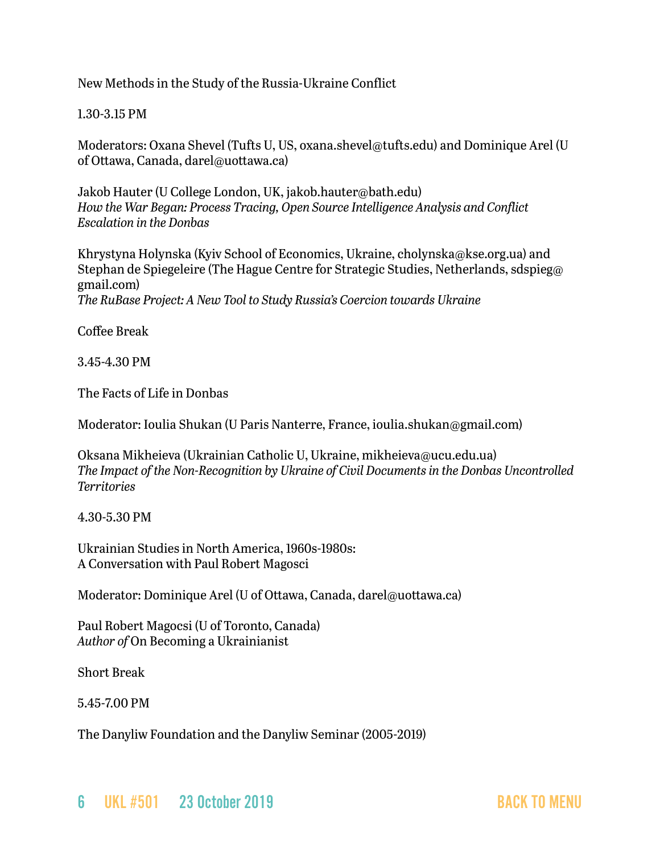New Methods in the Study of the Russia-Ukraine Conflict

1.30-3.15 PM

Moderators: Oxana Shevel (Tufts U, US, oxana.shevel@tufts.edu) and Dominique Arel (U of Ottawa, Canada, darel@uottawa.ca)

Jakob Hauter (U College London, UK, jakob.hauter@bath.edu) *How the War Began: Process Tracing, Open Source Intelligence Analysis and Conflict Escalation in the Donbas*

Khrystyna Holynska (Kyiv School of Economics, Ukraine, cholynska@kse.org.ua) and Stephan de Spiegeleire (The Hague Centre for Strategic Studies, Netherlands, sdspieg@ gmail.com) *The RuBase Project: A New Tool to Study Russia's Coercion towards Ukraine*

Coffee Break

3.45-4.30 PM

The Facts of Life in Donbas

Moderator: Ioulia Shukan (U Paris Nanterre, France, ioulia.shukan@gmail.com)

Oksana Mikheieva (Ukrainian Catholic U, Ukraine, mikheieva@ucu.edu.ua) *The Impact of the Non-Recognition by Ukraine of Civil Documents in the Donbas Uncontrolled Territories*

4.30-5.30 PM

Ukrainian Studies in North America, 1960s-1980s: A Conversation with Paul Robert Magosci

Moderator: Dominique Arel (U of Ottawa, Canada, darel@uottawa.ca)

Paul Robert Magocsi (U of Toronto, Canada) *Author of* On Becoming a Ukrainianist

Short Break

5.45-7.00 PM

The Danyliw Foundation and the Danyliw Seminar (2005-2019)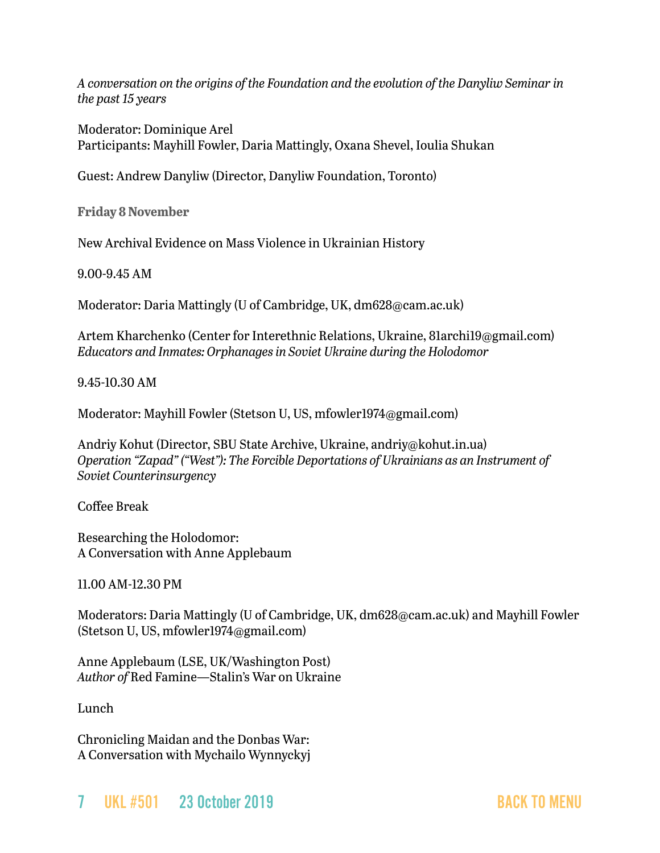*A conversation on the origins of the Foundation and the evolution of the Danyliw Seminar in the past 15 years*

Moderator: Dominique Arel Participants: Mayhill Fowler, Daria Mattingly, Oxana Shevel, Ioulia Shukan

Guest: Andrew Danyliw (Director, Danyliw Foundation, Toronto)

**Friday 8 November**

New Archival Evidence on Mass Violence in Ukrainian History

9.00-9.45 AM

Moderator: Daria Mattingly (U of Cambridge, UK, dm628@cam.ac.uk)

Artem Kharchenko (Center for Interethnic Relations, Ukraine, 81archi19@gmail.com) *Educators and Inmates: Orphanages in Soviet Ukraine during the Holodomor* 

9.45-10.30 AM

Moderator: Mayhill Fowler (Stetson U, US, mfowler1974@gmail.com)

Andriy Kohut (Director, SBU State Archive, Ukraine, andriy@kohut.in.ua) *Operation "Zapad" ("West"): The Forcible Deportations of Ukrainians as an Instrument of Soviet Counterinsurgency*

Coffee Break

Researching the Holodomor: A Conversation with Anne Applebaum

11.00 AM-12.30 PM

Moderators: Daria Mattingly (U of Cambridge, UK, dm628@cam.ac.uk) and Mayhill Fowler (Stetson U, US, mfowler1974@gmail.com)

Anne Applebaum (LSE, UK/Washington Post) *Author of* Red Famine—Stalin's War on Ukraine

Lunch

Chronicling Maidan and the Donbas War: A Conversation with Mychailo Wynnyckyj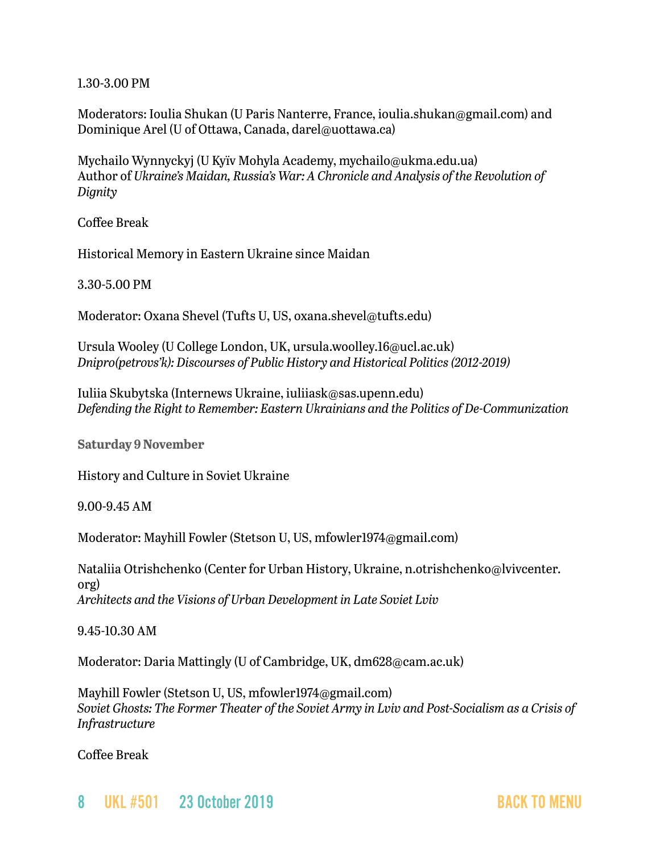1.30-3.00 PM

Moderators: Ioulia Shukan (U Paris Nanterre, France, ioulia.shukan@gmail.com) and Dominique Arel (U of Ottawa, Canada, darel@uottawa.ca)

Mychailo Wynnyckyj (U Kyïv Mohyla Academy, mychailo@ukma.edu.ua) Author of *Ukraine's Maidan, Russia's War: A Chronicle and Analysis of the Revolution of Dignity*

Coffee Break

Historical Memory in Eastern Ukraine since Maidan

3.30-5.00 PM

Moderator: Oxana Shevel (Tufts U, US, oxana.shevel@tufts.edu)

Ursula Wooley (U College London, UK, ursula.woolley.16@ucl.ac.uk) *Dnipro(petrovs'k): Discourses of Public History and Historical Politics (2012-2019)* 

Iuliia Skubytska (Internews Ukraine, iuliiask@sas.upenn.edu) *Defending the Right to Remember: Eastern Ukrainians and the Politics of De-Communization*

**Saturday 9 November**

History and Culture in Soviet Ukraine

9.00-9.45 AM

Moderator: Mayhill Fowler (Stetson U, US, mfowler1974@gmail.com)

Nataliia Otrishchenko (Center for Urban History, Ukraine, n.otrishchenko@lvivcenter. org) *Architects and the Visions of Urban Development in Late Soviet Lviv*

9.45-10.30 AM

Moderator: Daria Mattingly (U of Cambridge, UK, dm628@cam.ac.uk)

Mayhill Fowler (Stetson U, US, mfowler1974@gmail.com) *Soviet Ghosts: The Former Theater of the Soviet Army in Lviv and Post-Socialism as a Crisis of Infrastructure*

Coffee Break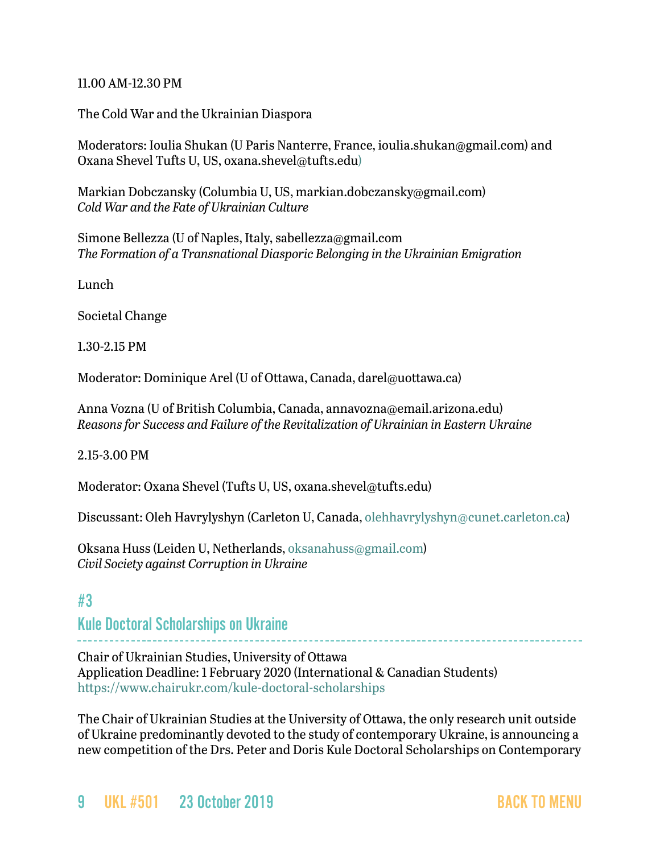#### 11.00 AM-12.30 PM

The Cold War and the Ukrainian Diaspora

Moderators: Ioulia Shukan (U Paris Nanterre, France, ioulia.shukan@gmail.com) and Oxana Shevel Tufts U, US, oxana.shevel@tufts.edu)

Markian Dobczansky (Columbia U, US, markian.dobczansky@gmail.com) *Cold War and the Fate of Ukrainian Culture*

Simone Bellezza (U of Naples, Italy, sabellezza@gmail.com *The Formation of a Transnational Diasporic Belonging in the Ukrainian Emigration*

Lunch

Societal Change

1.30-2.15 PM

Moderator: Dominique Arel (U of Ottawa, Canada, darel@uottawa.ca)

Anna Vozna (U of British Columbia, Canada, annavozna@email.arizona.edu) *Reasons for Success and Failure of the Revitalization of Ukrainian in Eastern Ukraine*

2.15-3.00 PM

Moderator: Oxana Shevel (Tufts U, US, oxana.shevel@tufts.edu)

Discussant: Oleh Havrylyshyn (Carleton U, Canada, [olehhavrylyshyn@cunet.carleton.ca](mailto:olehhavrylyshyn@cunet.carleton.ca))

Oksana Huss (Leiden U, Netherlands, [oksanahuss@gmail.com\)](mailto:oksanahuss@gmail.com) *Civil Society against Corruption in Ukraine*

### <span id="page-8-0"></span>#3

Kule Doctoral Scholarships on Ukraine

Chair of Ukrainian Studies, University of Ottawa

Application Deadline: 1 February 2020 (International & Canadian Students) <https://www.chairukr.com/kule-doctoral-scholarships>

The Chair of Ukrainian Studies at the University of Ottawa, the only research unit outside of Ukraine predominantly devoted to the study of contemporary Ukraine, is announcing a new competition of the Drs. Peter and Doris Kule Doctoral Scholarships on Contemporary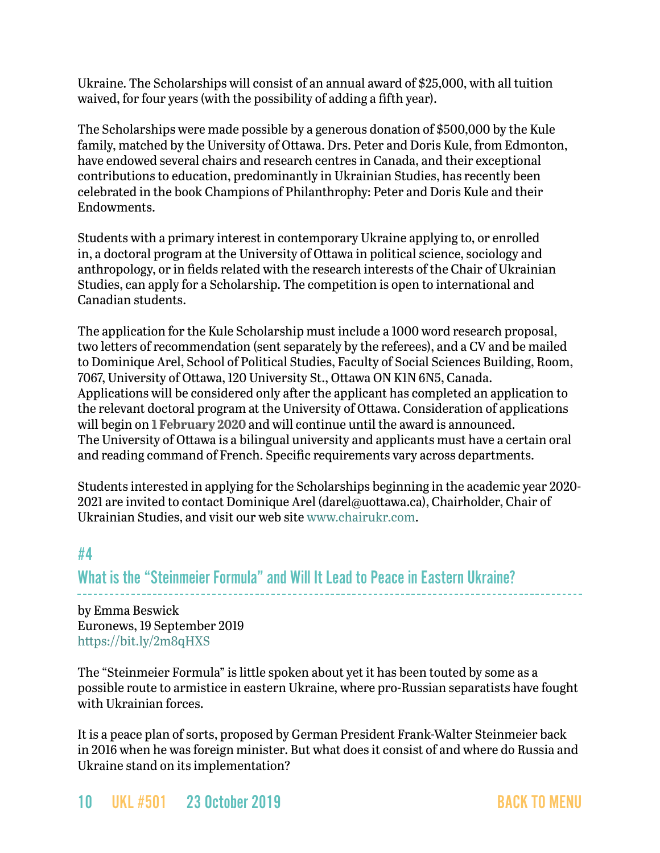Ukraine. The Scholarships will consist of an annual award of \$25,000, with all tuition waived, for four years (with the possibility of adding a fifth year).

The Scholarships were made possible by a generous donation of \$500,000 by the Kule family, matched by the University of Ottawa. Drs. Peter and Doris Kule, from Edmonton, have endowed several chairs and research centres in Canada, and their exceptional contributions to education, predominantly in Ukrainian Studies, has recently been celebrated in the book Champions of Philanthrophy: Peter and Doris Kule and their Endowments.

Students with a primary interest in contemporary Ukraine applying to, or enrolled in, a doctoral program at the University of Ottawa in political science, sociology and anthropology, or in fields related with the research interests of the Chair of Ukrainian Studies, can apply for a Scholarship. The competition is open to international and Canadian students.

The application for the Kule Scholarship must include a 1000 word research proposal, two letters of recommendation (sent separately by the referees), and a CV and be mailed to Dominique Arel, School of Political Studies, Faculty of Social Sciences Building, Room, 7067, University of Ottawa, 120 University St., Ottawa ON K1N 6N5, Canada. Applications will be considered only after the applicant has completed an application to the relevant doctoral program at the University of Ottawa. Consideration of applications will begin on **1 February 2020** and will continue until the award is announced. The University of Ottawa is a bilingual university and applicants must have a certain oral and reading command of French. Specific requirements vary across departments.

Students interested in applying for the Scholarships beginning in the academic year 2020 2021 are invited to contact Dominique Arel ([darel@uottawa.ca\)](mailto:darel@uottawa.ca), Chairholder, Chair of Ukrainian Studies, and visit our web site [www.chairukr.com](http://www.chairukr.com).

# #4

What is the "Steinmeier Formula" and Will It Lead to Peace in Eastern Ukraine?

by Emma Beswick Euronews, 19 September 2019 <https://bit.ly/2m8qHXS>

The "Steinmeier Formula" is little spoken about yet it has been touted by some as a possible route to armistice in eastern Ukraine, where pro-Russian separatists have fought with Ukrainian forces.

It is a peace plan of sorts, proposed by German President Frank-Walter Steinmeier back in 2016 when he was foreign minister. But what does it consist of and where do Russia and Ukraine stand on its implementation?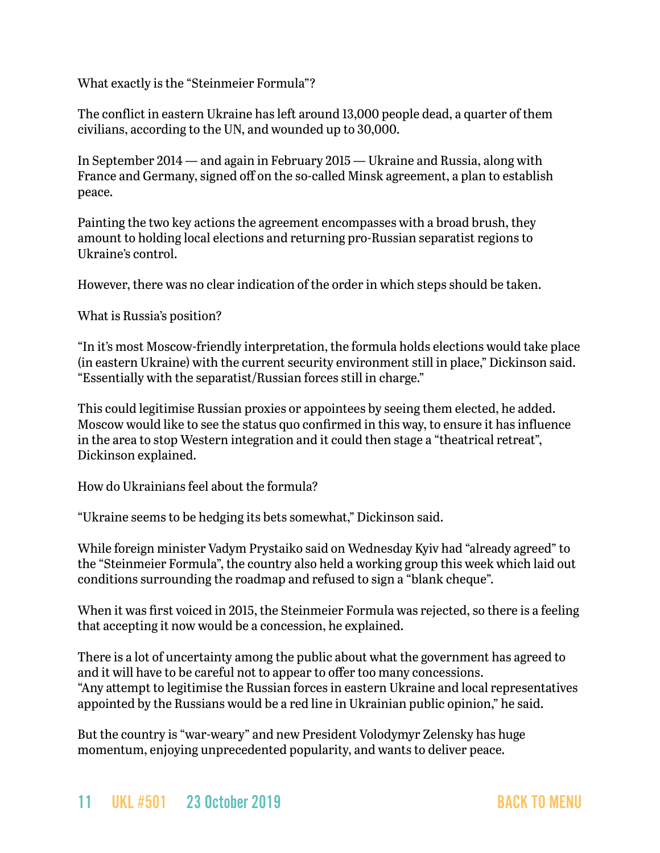What exactly is the "Steinmeier Formula"?

The conflict in eastern Ukraine has left around 13,000 people dead, a quarter of them civilians, according to the UN, and wounded up to 30,000.

In September 2014 — and again in February 2015 — Ukraine and Russia, along with France and Germany, signed off on the so-called Minsk agreement, a plan to establish peace.

Painting the two key actions the agreement encompasses with a broad brush, they amount to holding local elections and returning pro-Russian separatist regions to Ukraine's control.

However, there was no clear indication of the order in which steps should be taken.

What is Russia's position?

"In it's most Moscow-friendly interpretation, the formula holds elections would take place (in eastern Ukraine) with the current security environment still in place," Dickinson said. "Essentially with the separatist/Russian forces still in charge."

This could legitimise Russian proxies or appointees by seeing them elected, he added. Moscow would like to see the status quo confirmed in this way, to ensure it has influence in the area to stop Western integration and it could then stage a "theatrical retreat", Dickinson explained.

How do Ukrainians feel about the formula?

"Ukraine seems to be hedging its bets somewhat," Dickinson said.

While foreign minister Vadym Prystaiko said on Wednesday Kyiv had "already agreed" to the "Steinmeier Formula", the country also held a working group this week which laid out conditions surrounding the roadmap and refused to sign a "blank cheque".

When it was first voiced in 2015, the Steinmeier Formula was rejected, so there is a feeling that accepting it now would be a concession, he explained.

There is a lot of uncertainty among the public about what the government has agreed to and it will have to be careful not to appear to offer too many concessions. "Any attempt to legitimise the Russian forces in eastern Ukraine and local representatives appointed by the Russians would be a red line in Ukrainian public opinion," he said.

But the country is "war-weary" and new President Volodymyr Zelensky has huge momentum, enjoying unprecedented popularity, and wants to deliver peace.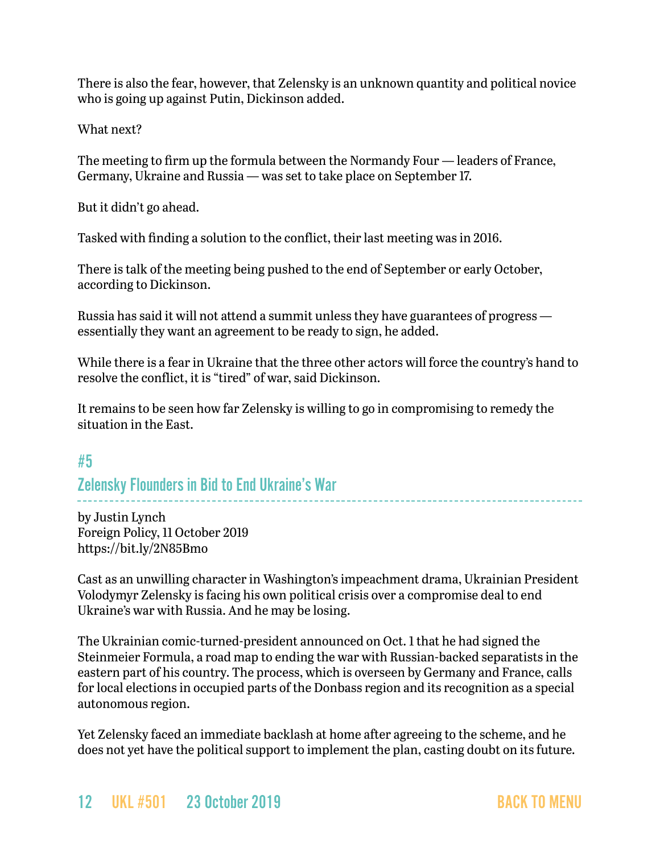There is also the fear, however, that Zelensky is an unknown quantity and political novice who is going up against Putin, Dickinson added.

What next?

The meeting to firm up the formula between the Normandy Four — leaders of France, Germany, Ukraine and Russia — was set to take place on September 17.

But it didn't go ahead.

Tasked with finding a solution to the conflict, their last meeting was in 2016.

There is talk of the meeting being pushed to the end of September or early October, according to Dickinson.

Russia has said it will not attend a summit unless they have guarantees of progress essentially they want an agreement to be ready to sign, he added.

While there is a fear in Ukraine that the three other actors will force the country's hand to resolve the conflict, it is "tired" of war, said Dickinson.

It remains to be seen how far Zelensky is willing to go in compromising to remedy the situation in the East.

# <span id="page-11-0"></span>#5

# Zelensky Flounders in Bid to End Ukraine's War

by Justin Lynch Foreign Policy, 11 October 2019 https://bit.ly/2N85Bmo

Cast as an unwilling character in Washington's impeachment drama, Ukrainian President Volodymyr Zelensky is facing his own political crisis over a compromise deal to end Ukraine's war with Russia. And he may be losing.

The Ukrainian comic-turned-president announced on Oct. 1 that he had signed the Steinmeier Formula, a road map to ending the war with Russian-backed separatists in the eastern part of his country. The process, which is overseen by Germany and France, calls for local elections in occupied parts of the Donbass region and its recognition as a special autonomous region.

Yet Zelensky faced an immediate backlash at home after agreeing to the scheme, and he does not yet have the political support to implement the plan, casting doubt on its future.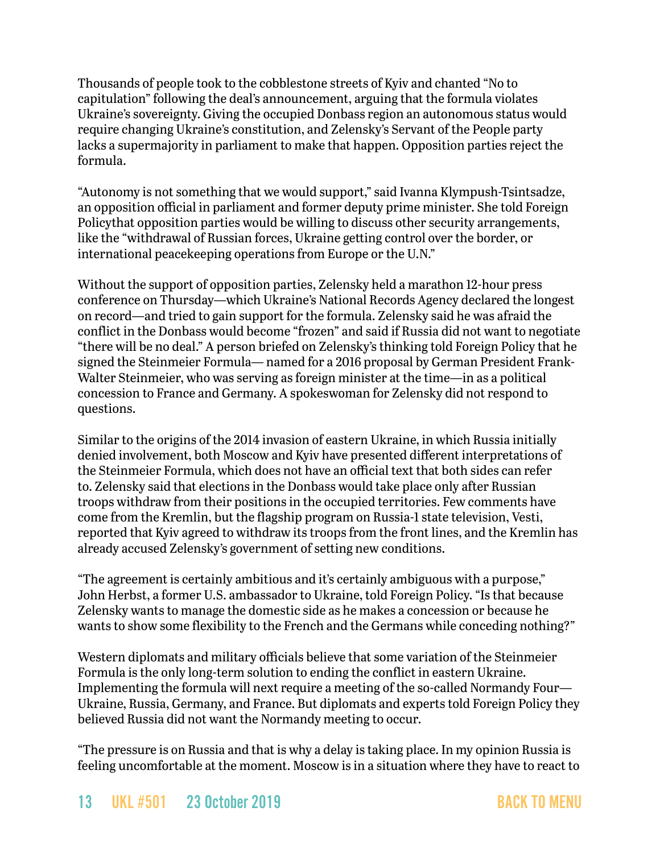Thousands of people took to the cobblestone streets of Kyiv and chanted "No to capitulation" following the deal's announcement, arguing that the formula violates Ukraine's sovereignty. Giving the occupied Donbass region an autonomous status would require changing Ukraine's constitution, and Zelensky's Servant of the People party lacks a supermajority in parliament to make that happen. Opposition parties reject the formula.

"Autonomy is not something that we would support," said Ivanna Klympush-Tsintsadze, an opposition official in parliament and former deputy prime minister. She told Foreign Policythat opposition parties would be willing to discuss other security arrangements, like the "withdrawal of Russian forces, Ukraine getting control over the border, or international peacekeeping operations from Europe or the U.N."

Without the support of opposition parties, Zelensky held a marathon 12-hour press conference on Thursday—which Ukraine's National Records Agency declared the longest on record—and tried to gain support for the formula. Zelensky said he was afraid the conflict in the Donbass would become "frozen" and said if Russia did not want to negotiate "there will be no deal." A person briefed on Zelensky's thinking told Foreign Policy that he signed the Steinmeier Formula— named for a 2016 proposal by German President Frank-Walter Steinmeier, who was serving as foreign minister at the time—in as a political concession to France and Germany. A spokeswoman for Zelensky did not respond to questions.

Similar to the origins of the 2014 invasion of eastern Ukraine, in which Russia initially denied involvement, both Moscow and Kyiv have presented different interpretations of the Steinmeier Formula, which does not have an official text that both sides can refer to. Zelensky said that elections in the Donbass would take place only after Russian troops withdraw from their positions in the occupied territories. Few comments have come from the Kremlin, but the flagship program on Russia-1 state television, Vesti, reported that Kyiv agreed to withdraw its troops from the front lines, and the Kremlin has already accused Zelensky's government of setting new conditions.

"The agreement is certainly ambitious and it's certainly ambiguous with a purpose," John Herbst, a former U.S. ambassador to Ukraine, told Foreign Policy. "Is that because Zelensky wants to manage the domestic side as he makes a concession or because he wants to show some flexibility to the French and the Germans while conceding nothing?"

Western diplomats and military officials believe that some variation of the Steinmeier Formula is the only long-term solution to ending the conflict in eastern Ukraine. Implementing the formula will next require a meeting of the so-called Normandy Four— Ukraine, Russia, Germany, and France. But diplomats and experts told Foreign Policy they believed Russia did not want the Normandy meeting to occur.

"The pressure is on Russia and that is why a delay is taking place. In my opinion Russia is feeling uncomfortable at the moment. Moscow is in a situation where they have to react to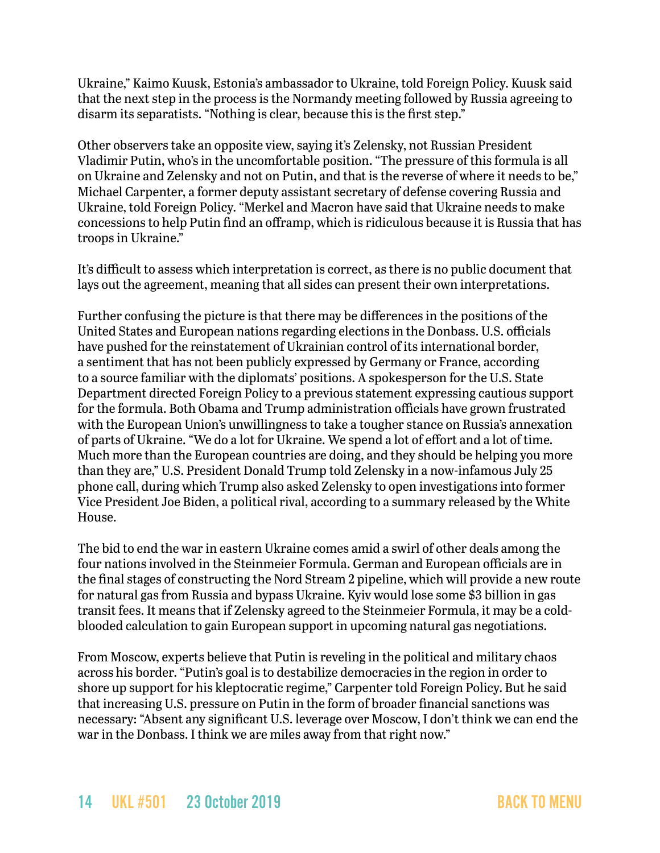Ukraine," Kaimo Kuusk, Estonia's ambassador to Ukraine, told Foreign Policy. Kuusk said that the next step in the process is the Normandy meeting followed by Russia agreeing to disarm its separatists. "Nothing is clear, because this is the first step."

Other observers take an opposite view, saying it's Zelensky, not Russian President Vladimir Putin, who's in the uncomfortable position. "The pressure of this formula is all on Ukraine and Zelensky and not on Putin, and that is the reverse of where it needs to be," Michael Carpenter, a former deputy assistant secretary of defense covering Russia and Ukraine, told Foreign Policy. "Merkel and Macron have said that Ukraine needs to make concessions to help Putin find an offramp, which is ridiculous because it is Russia that has troops in Ukraine."

It's difficult to assess which interpretation is correct, as there is no public document that lays out the agreement, meaning that all sides can present their own interpretations.

Further confusing the picture is that there may be differences in the positions of the United States and European nations regarding elections in the Donbass. U.S. officials have pushed for the reinstatement of Ukrainian control of its international border, a sentiment that has not been publicly expressed by Germany or France, according to a source familiar with the diplomats' positions. A spokesperson for the U.S. State Department directed Foreign Policy to a previous statement expressing cautious support for the formula. Both Obama and Trump administration officials have grown frustrated with the European Union's unwillingness to take a tougher stance on Russia's annexation of parts of Ukraine. "We do a lot for Ukraine. We spend a lot of effort and a lot of time. Much more than the European countries are doing, and they should be helping you more than they are," U.S. President Donald Trump told Zelensky in a now-infamous July 25 phone call, during which Trump also asked Zelensky to open investigations into former Vice President Joe Biden, a political rival, according to a summary released by the White House.

The bid to end the war in eastern Ukraine comes amid a swirl of other deals among the four nations involved in the Steinmeier Formula. German and European officials are in the final stages of constructing the Nord Stream 2 pipeline, which will provide a new route for natural gas from Russia and bypass Ukraine. Kyiv would lose some \$3 billion in gas transit fees. It means that if Zelensky agreed to the Steinmeier Formula, it may be a coldblooded calculation to gain European support in upcoming natural gas negotiations.

From Moscow, experts believe that Putin is reveling in the political and military chaos across his border. "Putin's goal is to destabilize democracies in the region in order to shore up support for his kleptocratic regime," Carpenter told Foreign Policy. But he said that increasing U.S. pressure on Putin in the form of broader financial sanctions was necessary: "Absent any significant U.S. leverage over Moscow, I don't think we can end the war in the Donbass. I think we are miles away from that right now."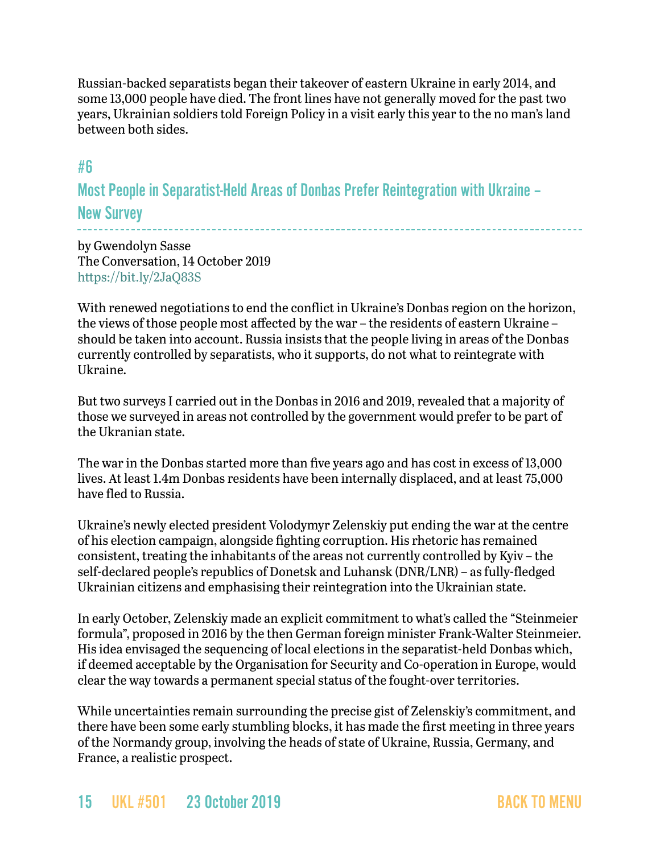Russian-backed separatists began their takeover of eastern Ukraine in early 2014, and some 13,000 people have died. The front lines have not generally moved for the past two years, Ukrainian soldiers told Foreign Policy in a visit early this year to the no man's land between both sides.

# <span id="page-14-0"></span>#6

Most People in Separatist-Held Areas of Donbas Prefer Reintegration with Ukraine – New Survey

by Gwendolyn Sasse The Conversation, 14 October 2019 <https://bit.ly/2JaQ83S>

With renewed negotiations to end the conflict in Ukraine's Donbas region on the horizon, the views of those people most affected by the war – the residents of eastern Ukraine – should be taken into account. Russia insists that the people living in areas of the Donbas currently controlled by separatists, who it supports, do not what to reintegrate with Ukraine.

But two surveys I carried out in the Donbas in 2016 and 2019, revealed that a majority of those we surveyed in areas not controlled by the government would prefer to be part of the Ukranian state.

The war in the Donbas started more than five years ago and has cost in excess of 13,000 lives. At least 1.4m Donbas residents have been internally displaced, and at least 75,000 have fled to Russia.

Ukraine's newly elected president Volodymyr Zelenskiy put ending the war at the centre of his election campaign, alongside fighting corruption. His rhetoric has remained consistent, treating the inhabitants of the areas not currently controlled by Kyiv – the self-declared people's republics of Donetsk and Luhansk (DNR/LNR) – as fully-fledged Ukrainian citizens and emphasising their reintegration into the Ukrainian state.

In early October, Zelenskiy made an explicit commitment to what's called the "Steinmeier formula", proposed in 2016 by the then German foreign minister Frank-Walter Steinmeier. His idea envisaged the sequencing of local elections in the separatist-held Donbas which, if deemed acceptable by the Organisation for Security and Co-operation in Europe, would clear the way towards a permanent special status of the fought-over territories.

While uncertainties remain surrounding the precise gist of Zelenskiy's commitment, and there have been some early stumbling blocks, it has made the first meeting in three years of the Normandy group, involving the heads of state of Ukraine, Russia, Germany, and France, a realistic prospect.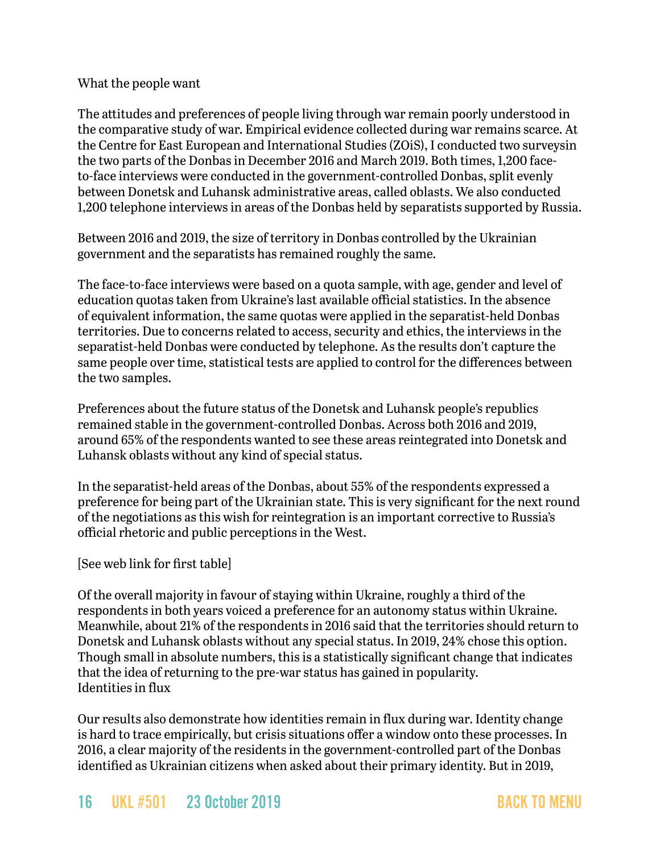#### What the people want

The attitudes and preferences of people living through war remain poorly understood in the comparative study of war. Empirical evidence collected during war remains scarce. At the Centre for East European and International Studies (ZOiS), I conducted two surveysin the two parts of the Donbas in December 2016 and March 2019. Both times, 1,200 faceto-face interviews were conducted in the government-controlled Donbas, split evenly between Donetsk and Luhansk administrative areas, called oblasts. We also conducted 1,200 telephone interviews in areas of the Donbas held by separatists supported by Russia.

Between 2016 and 2019, the size of territory in Donbas controlled by the Ukrainian government and the separatists has remained roughly the same.

The face-to-face interviews were based on a quota sample, with age, gender and level of education quotas taken from Ukraine's last available official statistics. In the absence of equivalent information, the same quotas were applied in the separatist-held Donbas territories. Due to concerns related to access, security and ethics, the interviews in the separatist-held Donbas were conducted by telephone. As the results don't capture the same people over time, statistical tests are applied to control for the differences between the two samples.

Preferences about the future status of the Donetsk and Luhansk people's republics remained stable in the government-controlled Donbas. Across both 2016 and 2019, around 65% of the respondents wanted to see these areas reintegrated into Donetsk and Luhansk oblasts without any kind of special status.

In the separatist-held areas of the Donbas, about 55% of the respondents expressed a preference for being part of the Ukrainian state. This is very significant for the next round of the negotiations as this wish for reintegration is an important corrective to Russia's official rhetoric and public perceptions in the West.

#### [See web link for first table]

Of the overall majority in favour of staying within Ukraine, roughly a third of the respondents in both years voiced a preference for an autonomy status within Ukraine. Meanwhile, about 21% of the respondents in 2016 said that the territories should return to Donetsk and Luhansk oblasts without any special status. In 2019, 24% chose this option. Though small in absolute numbers, this is a statistically significant change that indicates that the idea of returning to the pre-war status has gained in popularity. Identities in flux

Our results also demonstrate how identities remain in flux during war. Identity change is hard to trace empirically, but crisis situations offer a window onto these processes. In 2016, a clear majority of the residents in the government-controlled part of the Donbas identified as Ukrainian citizens when asked about their primary identity. But in 2019,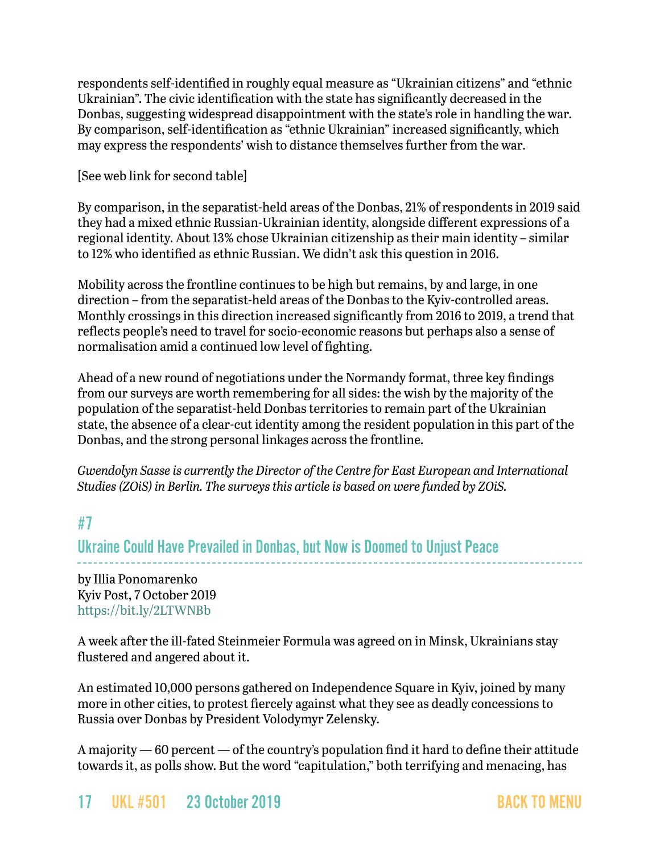respondents self-identified in roughly equal measure as "Ukrainian citizens" and "ethnic Ukrainian". The civic identification with the state has significantly decreased in the Donbas, suggesting widespread disappointment with the state's role in handling the war. By comparison, self-identification as "ethnic Ukrainian" increased significantly, which may express the respondents' wish to distance themselves further from the war.

[See web link for second table]

By comparison, in the separatist-held areas of the Donbas, 21% of respondents in 2019 said they had a mixed ethnic Russian-Ukrainian identity, alongside different expressions of a regional identity. About 13% chose Ukrainian citizenship as their main identity – similar to 12% who identified as ethnic Russian. We didn't ask this question in 2016.

Mobility across the frontline continues to be high but remains, by and large, in one direction – from the separatist-held areas of the Donbas to the Kyiv-controlled areas. Monthly crossings in this direction increased significantly from 2016 to 2019, a trend that reflects people's need to travel for socio-economic reasons but perhaps also a sense of normalisation amid a continued low level of fighting.

Ahead of a new round of negotiations under the Normandy format, three key findings from our surveys are worth remembering for all sides: the wish by the majority of the population of the separatist-held Donbas territories to remain part of the Ukrainian state, the absence of a clear-cut identity among the resident population in this part of the Donbas, and the strong personal linkages across the frontline.

*Gwendolyn Sasse is currently the Director of the Centre for East European and International Studies (ZOiS) in Berlin. The surveys this article is based on were funded by ZOiS.*

# <span id="page-16-0"></span>#7

Ukraine Could Have Prevailed in Donbas, but Now is Doomed to Unjust Peace

by Illia Ponomarenko Kyiv Post, 7 October 2019 <https://bit.ly/2LTWNBb>

A week after the ill-fated Steinmeier Formula was agreed on in Minsk, Ukrainians stay flustered and angered about it.

An estimated 10,000 persons gathered on Independence Square in Kyiv, joined by many more in other cities, to protest fiercely against what they see as deadly concessions to Russia over Donbas by President Volodymyr Zelensky.

A majority — 60 percent — of the country's population find it hard to define their attitude towards it, as polls show. But the word "capitulation," both terrifying and menacing, has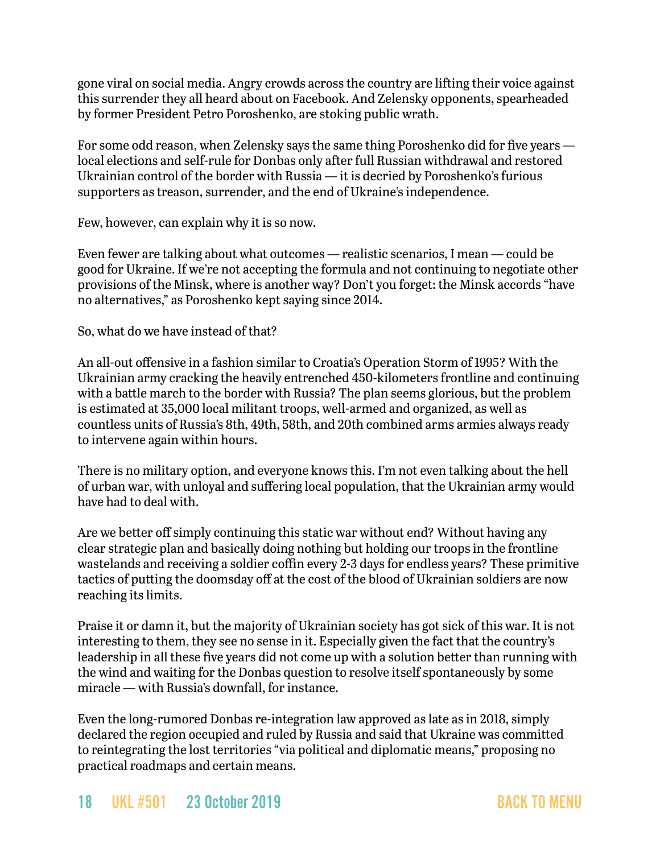gone viral on social media. Angry crowds across the country are lifting their voice against this surrender they all heard about on Facebook. And Zelensky opponents, spearheaded by former President Petro Poroshenko, are stoking public wrath.

For some odd reason, when Zelensky says the same thing Poroshenko did for five years local elections and self-rule for Donbas only after full Russian withdrawal and restored Ukrainian control of the border with Russia — it is decried by Poroshenko's furious supporters as treason, surrender, and the end of Ukraine's independence.

Few, however, can explain why it is so now.

Even fewer are talking about what outcomes — realistic scenarios, I mean — could be good for Ukraine. If we're not accepting the formula and not continuing to negotiate other provisions of the Minsk, where is another way? Don't you forget: the Minsk accords "have no alternatives," as Poroshenko kept saying since 2014.

So, what do we have instead of that?

An all-out offensive in a fashion similar to Croatia's Operation Storm of 1995? With the Ukrainian army cracking the heavily entrenched 450-kilometers frontline and continuing with a battle march to the border with Russia? The plan seems glorious, but the problem is estimated at 35,000 local militant troops, well-armed and organized, as well as countless units of Russia's 8th, 49th, 58th, and 20th combined arms armies always ready to intervene again within hours.

There is no military option, and everyone knows this. I'm not even talking about the hell of urban war, with unloyal and suffering local population, that the Ukrainian army would have had to deal with.

Are we better off simply continuing this static war without end? Without having any clear strategic plan and basically doing nothing but holding our troops in the frontline wastelands and receiving a soldier coffin every 2-3 days for endless years? These primitive tactics of putting the doomsday off at the cost of the blood of Ukrainian soldiers are now reaching its limits.

Praise it or damn it, but the majority of Ukrainian society has got sick of this war. It is not interesting to them, they see no sense in it. Especially given the fact that the country's leadership in all these five years did not come up with a solution better than running with the wind and waiting for the Donbas question to resolve itself spontaneously by some miracle — with Russia's downfall, for instance.

Even the long-rumored Donbas re-integration law approved as late as in 2018, simply declared the region occupied and ruled by Russia and said that Ukraine was committed to reintegrating the lost territories "via political and diplomatic means," proposing no practical roadmaps and certain means.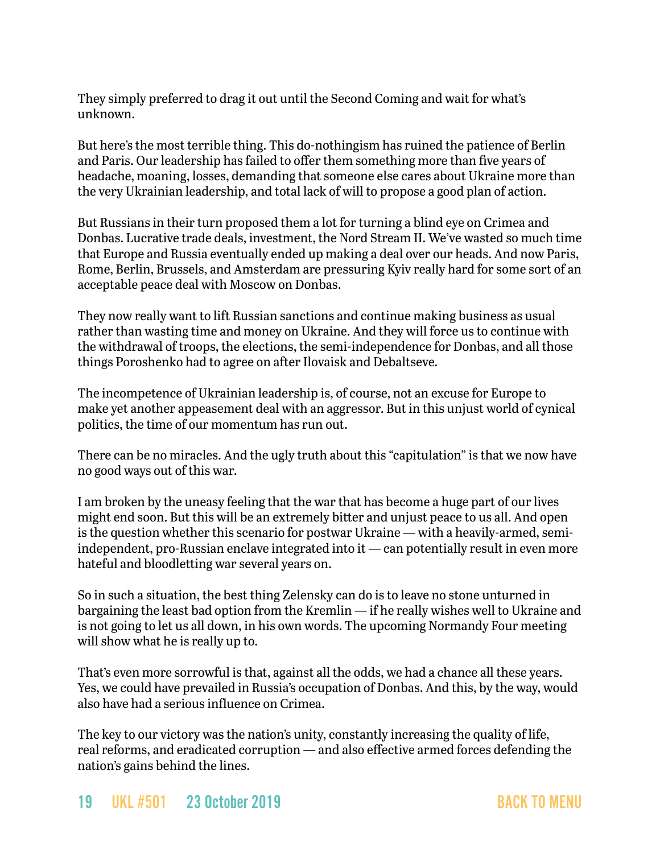They simply preferred to drag it out until the Second Coming and wait for what's unknown.

But here's the most terrible thing. This do-nothingism has ruined the patience of Berlin and Paris. Our leadership has failed to offer them something more than five years of headache, moaning, losses, demanding that someone else cares about Ukraine more than the very Ukrainian leadership, and total lack of will to propose a good plan of action.

But Russians in their turn proposed them a lot for turning a blind eye on Crimea and Donbas. Lucrative trade deals, investment, the Nord Stream II. We've wasted so much time that Europe and Russia eventually ended up making a deal over our heads. And now Paris, Rome, Berlin, Brussels, and Amsterdam are pressuring Kyiv really hard for some sort of an acceptable peace deal with Moscow on Donbas.

They now really want to lift Russian sanctions and continue making business as usual rather than wasting time and money on Ukraine. And they will force us to continue with the withdrawal of troops, the elections, the semi-independence for Donbas, and all those things Poroshenko had to agree on after Ilovaisk and Debaltseve.

The incompetence of Ukrainian leadership is, of course, not an excuse for Europe to make yet another appeasement deal with an aggressor. But in this unjust world of cynical politics, the time of our momentum has run out.

There can be no miracles. And the ugly truth about this "capitulation" is that we now have no good ways out of this war.

I am broken by the uneasy feeling that the war that has become a huge part of our lives might end soon. But this will be an extremely bitter and unjust peace to us all. And open is the question whether this scenario for postwar Ukraine — with a heavily-armed, semiindependent, pro-Russian enclave integrated into it — can potentially result in even more hateful and bloodletting war several years on.

So in such a situation, the best thing Zelensky can do is to leave no stone unturned in bargaining the least bad option from the Kremlin — if he really wishes well to Ukraine and is not going to let us all down, in his own words. The upcoming Normandy Four meeting will show what he is really up to.

That's even more sorrowful is that, against all the odds, we had a chance all these years. Yes, we could have prevailed in Russia's occupation of Donbas. And this, by the way, would also have had a serious influence on Crimea.

The key to our victory was the nation's unity, constantly increasing the quality of life, real reforms, and eradicated corruption — and also effective armed forces defending the nation's gains behind the lines.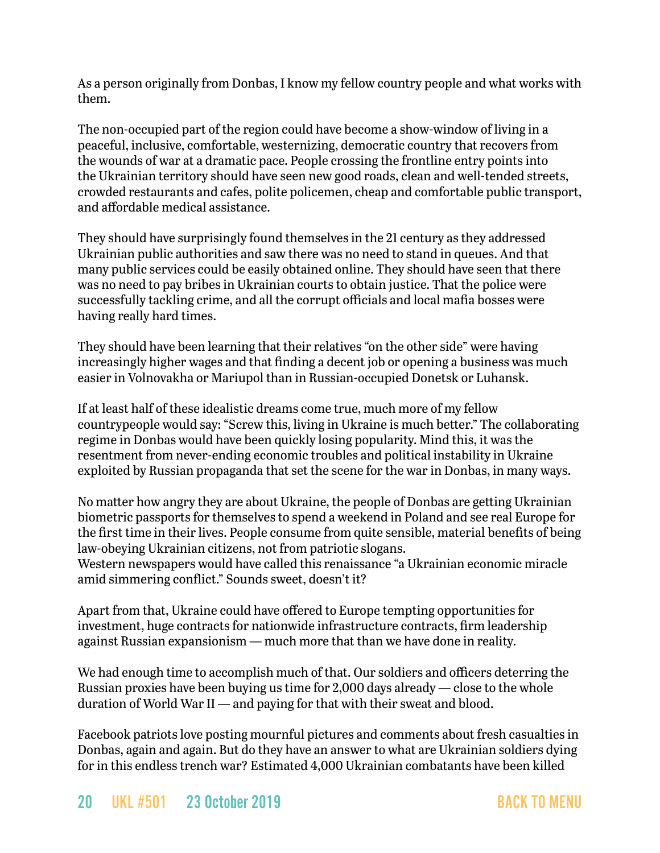As a person originally from Donbas, I know my fellow country people and what works with them.

The non-occupied part of the region could have become a show-window of living in a peaceful, inclusive, comfortable, westernizing, democratic country that recovers from the wounds of war at a dramatic pace. People crossing the frontline entry points into the Ukrainian territory should have seen new good roads, clean and well-tended streets, crowded restaurants and cafes, polite policemen, cheap and comfortable public transport, and affordable medical assistance.

They should have surprisingly found themselves in the 21 century as they addressed Ukrainian public authorities and saw there was no need to stand in queues. And that many public services could be easily obtained online. They should have seen that there was no need to pay bribes in Ukrainian courts to obtain justice. That the police were successfully tackling crime, and all the corrupt officials and local mafia bosses were having really hard times.

They should have been learning that their relatives "on the other side" were having increasingly higher wages and that finding a decent job or opening a business was much easier in Volnovakha or Mariupol than in Russian-occupied Donetsk or Luhansk.

If at least half of these idealistic dreams come true, much more of my fellow countrypeople would say: "Screw this, living in Ukraine is much better." The collaborating regime in Donbas would have been quickly losing popularity. Mind this, it was the resentment from never-ending economic troubles and political instability in Ukraine exploited by Russian propaganda that set the scene for the war in Donbas, in many ways.

No matter how angry they are about Ukraine, the people of Donbas are getting Ukrainian biometric passports for themselves to spend a weekend in Poland and see real Europe for the first time in their lives. People consume from quite sensible, material benefits of being law-obeying Ukrainian citizens, not from patriotic slogans.

Western newspapers would have called this renaissance "a Ukrainian economic miracle amid simmering conflict." Sounds sweet, doesn't it?

Apart from that, Ukraine could have offered to Europe tempting opportunities for investment, huge contracts for nationwide infrastructure contracts, firm leadership against Russian expansionism — much more that than we have done in reality.

We had enough time to accomplish much of that. Our soldiers and officers deterring the Russian proxies have been buying us time for 2,000 days already — close to the whole duration of World War II — and paying for that with their sweat and blood.

Facebook patriots love posting mournful pictures and comments about fresh casualties in Donbas, again and again. But do they have an answer to what are Ukrainian soldiers dying for in this endless trench war? Estimated 4,000 Ukrainian combatants have been killed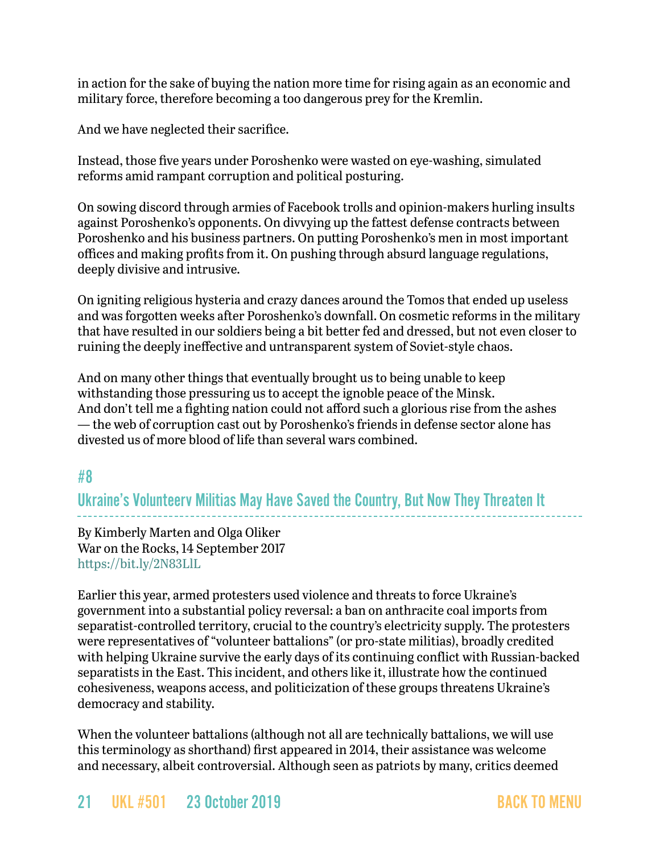in action for the sake of buying the nation more time for rising again as an economic and military force, therefore becoming a too dangerous prey for the Kremlin.

And we have neglected their sacrifice.

Instead, those five years under Poroshenko were wasted on eye-washing, simulated reforms amid rampant corruption and political posturing.

On sowing discord through armies of Facebook trolls and opinion-makers hurling insults against Poroshenko's opponents. On divvying up the fattest defense contracts between Poroshenko and his business partners. On putting Poroshenko's men in most important offices and making profits from it. On pushing through absurd language regulations, deeply divisive and intrusive.

On igniting religious hysteria and crazy dances around the Tomos that ended up useless and was forgotten weeks after Poroshenko's downfall. On cosmetic reforms in the military that have resulted in our soldiers being a bit better fed and dressed, but not even closer to ruining the deeply ineffective and untransparent system of Soviet-style chaos.

And on many other things that eventually brought us to being unable to keep withstanding those pressuring us to accept the ignoble peace of the Minsk. And don't tell me a fighting nation could not afford such a glorious rise from the ashes — the web of corruption cast out by Poroshenko's friends in defense sector alone has divested us of more blood of life than several wars combined.

### #8

Ukraine's Volunteerv Militias May Have Saved the Country, But Now They Threaten It

By Kimberly Marten and Olga Oliker War on the Rocks, 14 September 2017 <https://bit.ly/2N83LlL>

Earlier this year, armed protesters used violence and threats to force Ukraine's government into a substantial policy reversal: a ban on anthracite coal imports from separatist-controlled territory, crucial to the country's electricity supply. The protesters were representatives of "volunteer battalions" (or pro-state militias), broadly credited with helping Ukraine survive the early days of its continuing conflict with Russian-backed separatists in the East. This incident, and others like it, illustrate how the continued cohesiveness, weapons access, and politicization of these groups threatens Ukraine's democracy and stability.

When the volunteer battalions (although not all are technically battalions, we will use this terminology as shorthand) first appeared in 2014, their assistance was welcome and necessary, albeit controversial. Although seen as patriots by many, critics deemed

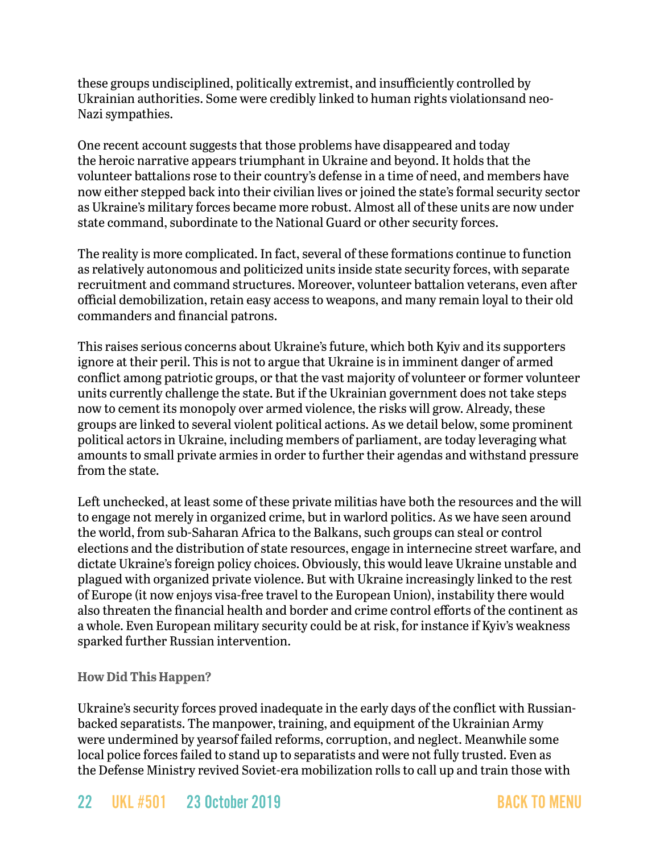these groups undisciplined, politically extremist, and insufficiently controlled by Ukrainian authorities. Some were credibly linked to human rights violationsand neo-Nazi sympathies.

One recent account suggests that those problems have disappeared and today the heroic narrative appears triumphant in Ukraine and beyond. It holds that the volunteer battalions rose to their country's defense in a time of need, and members have now either stepped back into their civilian lives or joined the state's formal security sector as Ukraine's military forces became more robust. Almost all of these units are now under state command, subordinate to the National Guard or other security forces.

The reality is more complicated. In fact, several of these formations continue to function as relatively autonomous and politicized units inside state security forces, with separate recruitment and command structures. Moreover, volunteer battalion veterans, even after official demobilization, retain easy access to weapons, and many remain loyal to their old commanders and financial patrons.

This raises serious concerns about Ukraine's future, which both Kyiv and its supporters ignore at their peril. This is not to argue that Ukraine is in imminent danger of armed conflict among patriotic groups, or that the vast majority of volunteer or former volunteer units currently challenge the state. But if the Ukrainian government does not take steps now to cement its monopoly over armed violence, the risks will grow. Already, these groups are linked to several violent political actions. As we detail below, some prominent political actors in Ukraine, including members of parliament, are today leveraging what amounts to small private armies in order to further their agendas and withstand pressure from the state.

Left unchecked, at least some of these private militias have both the resources and the will to engage not merely in organized crime, but in warlord politics. As we have seen around the world, from sub-Saharan Africa to the Balkans, such groups can steal or control elections and the distribution of state resources, engage in internecine street warfare, and dictate Ukraine's foreign policy choices. Obviously, this would leave Ukraine unstable and plagued with organized private violence. But with Ukraine increasingly linked to the rest of Europe (it now enjoys visa-free travel to the European Union), instability there would also threaten the financial health and border and crime control efforts of the continent as a whole. Even European military security could be at risk, for instance if Kyiv's weakness sparked further Russian intervention.

#### **How Did This Happen?**

Ukraine's security forces proved inadequate in the early days of the conflict with Russianbacked separatists. The manpower, training, and equipment of the Ukrainian Army were undermined by yearsof failed reforms, corruption, and neglect. Meanwhile some local police forces failed to stand up to separatists and were not fully trusted. Even as the Defense Ministry revived Soviet-era mobilization rolls to call up and train those with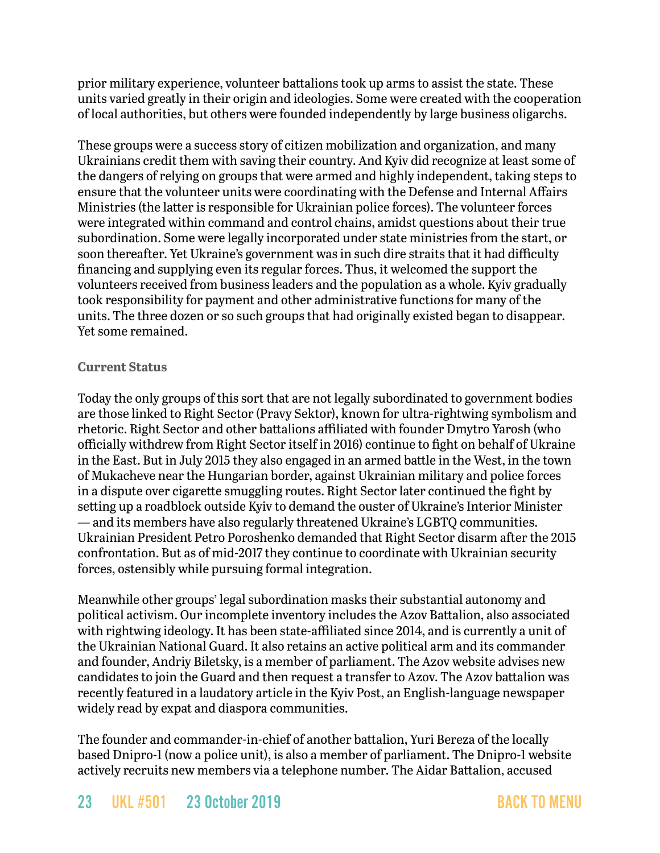prior military experience, volunteer battalions took up arms to assist the state. These units varied greatly in their origin and ideologies. Some were created with the cooperation of local authorities, but others were founded independently by large business oligarchs.

These groups were a success story of citizen mobilization and organization, and many Ukrainians credit them with saving their country. And Kyiv did recognize at least some of the dangers of relying on groups that were armed and highly independent, taking steps to ensure that the volunteer units were coordinating with the Defense and Internal Affairs Ministries (the latter is responsible for Ukrainian police forces). The volunteer forces were integrated within command and control chains, amidst questions about their true subordination. Some were legally incorporated under state ministries from the start, or soon thereafter. Yet Ukraine's government was in such dire straits that it had difficulty financing and supplying even its regular forces. Thus, it welcomed the support the volunteers received from business leaders and the population as a whole. Kyiv gradually took responsibility for payment and other administrative functions for many of the units. The three dozen or so such groups that had originally existed began to disappear. Yet some remained.

#### **Current Status**

Today the only groups of this sort that are not legally subordinated to government bodies are those linked to Right Sector (Pravy Sektor), known for ultra-rightwing symbolism and rhetoric. Right Sector and other battalions affiliated with founder Dmytro Yarosh (who officially withdrew from Right Sector itself in 2016) continue to fight on behalf of Ukraine in the East. But in July 2015 they also engaged in an armed battle in the West, in the town of Mukacheve near the Hungarian border, against Ukrainian military and police forces in a dispute over cigarette smuggling routes. Right Sector later continued the fight by setting up a roadblock outside Kyiv to demand the ouster of Ukraine's Interior Minister — and its members have also regularly threatened Ukraine's LGBTQ communities. Ukrainian President Petro Poroshenko demanded that Right Sector disarm after the 2015 confrontation. But as of mid-2017 they continue to coordinate with Ukrainian security forces, ostensibly while pursuing formal integration.

Meanwhile other groups' legal subordination masks their substantial autonomy and political activism. Our incomplete inventory includes the Azov Battalion, also associated with rightwing ideology. It has been state-affiliated since 2014, and is currently a unit of the Ukrainian National Guard. It also retains an active political arm and its commander and founder, Andriy Biletsky, is a member of parliament. The Azov website advises new candidates to join the Guard and then request a transfer to Azov. The Azov battalion was recently featured in a laudatory article in the Kyiv Post, an English-language newspaper widely read by expat and diaspora communities.

The founder and commander-in-chief of another battalion, Yuri Bereza of the locally based Dnipro-1 (now a police unit), is also a member of parliament. The Dnipro-1 website actively recruits new members via a telephone number. The Aidar Battalion, accused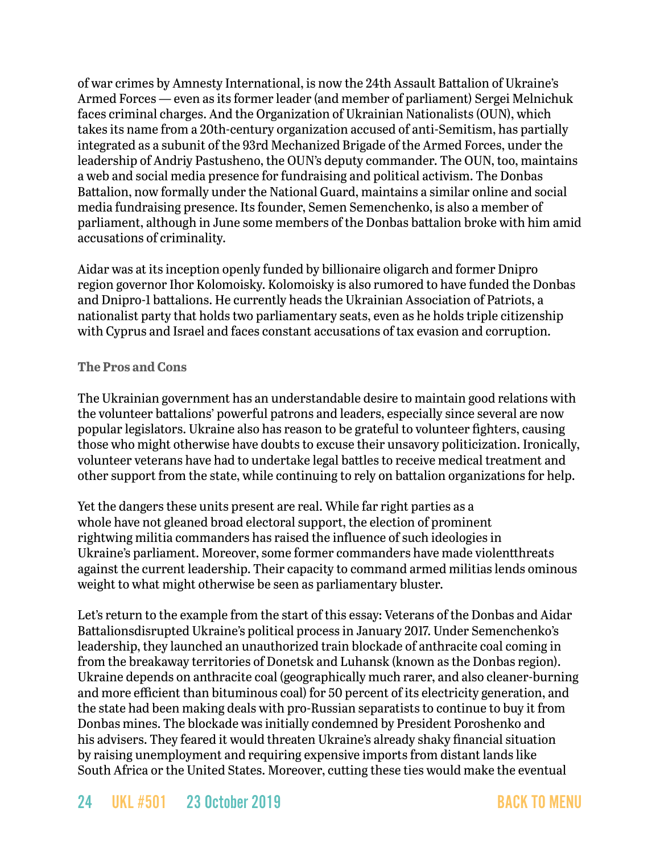of war crimes by Amnesty International, is now the 24th Assault Battalion of Ukraine's Armed Forces — even as its former leader (and member of parliament) Sergei Melnichuk faces criminal charges. And the Organization of Ukrainian Nationalists (OUN), which takes its name from a 20th-century organization accused of anti-Semitism, has partially integrated as a subunit of the 93rd Mechanized Brigade of the Armed Forces, under the leadership of Andriy Pastusheno, the OUN's deputy commander. The OUN, too, maintains a web and social media presence for fundraising and political activism. The Donbas Battalion, now formally under the National Guard, maintains a similar online and social media fundraising presence. Its founder, Semen Semenchenko, is also a member of parliament, although in June some members of the Donbas battalion broke with him amid accusations of criminality.

Aidar was at its inception openly funded by billionaire oligarch and former Dnipro region governor Ihor Kolomoisky. Kolomoisky is also rumored to have funded the Donbas and Dnipro-1 battalions. He currently heads the Ukrainian Association of Patriots, a nationalist party that holds two parliamentary seats, even as he holds triple citizenship with Cyprus and Israel and faces constant accusations of tax evasion and corruption.

#### **The Pros and Cons**

The Ukrainian government has an understandable desire to maintain good relations with the volunteer battalions' powerful patrons and leaders, especially since several are now popular legislators. Ukraine also has reason to be grateful to volunteer fighters, causing those who might otherwise have doubts to excuse their unsavory politicization. Ironically, volunteer veterans have had to undertake legal battles to receive medical treatment and other support from the state, while continuing to rely on battalion organizations for help.

Yet the dangers these units present are real. While far right parties as a whole have not gleaned broad electoral support, the election of prominent rightwing militia commanders has raised the influence of such ideologies in Ukraine's parliament. Moreover, some former commanders have made violentthreats against the current leadership. Their capacity to command armed militias lends ominous weight to what might otherwise be seen as parliamentary bluster.

Let's return to the example from the start of this essay: Veterans of the Donbas and Aidar Battalionsdisrupted Ukraine's political process in January 2017. Under Semenchenko's leadership, they launched an unauthorized train blockade of anthracite coal coming in from the breakaway territories of Donetsk and Luhansk (known as the Donbas region). Ukraine depends on anthracite coal (geographically much rarer, and also cleaner-burning and more efficient than bituminous coal) for 50 percent of its electricity generation, and the state had been making deals with pro-Russian separatists to continue to buy it from Donbas mines. The blockade was initially condemned by President Poroshenko and his advisers. They feared it would threaten Ukraine's already shaky financial situation by raising unemployment and requiring expensive imports from distant lands like South Africa or the United States. Moreover, cutting these ties would make the eventual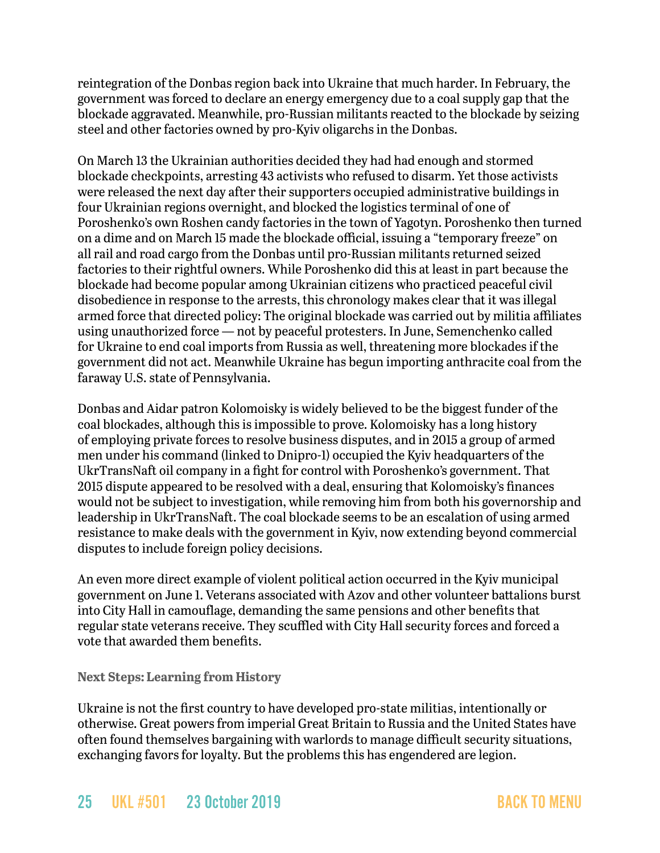reintegration of the Donbas region back into Ukraine that much harder. In February, the government was forced to declare an energy emergency due to a coal supply gap that the blockade aggravated. Meanwhile, pro-Russian militants reacted to the blockade by seizing steel and other factories owned by pro-Kyiv oligarchs in the Donbas.

On March 13 the Ukrainian authorities decided they had had enough and stormed blockade checkpoints, arresting 43 activists who refused to disarm. Yet those activists were released the next day after their supporters occupied administrative buildings in four Ukrainian regions overnight, and blocked the logistics terminal of one of Poroshenko's own Roshen candy factories in the town of Yagotyn. Poroshenko then turned on a dime and on March 15 made the blockade official, issuing a "temporary freeze" on all rail and road cargo from the Donbas until pro-Russian militants returned seized factories to their rightful owners. While Poroshenko did this at least in part because the blockade had become popular among Ukrainian citizens who practiced peaceful civil disobedience in response to the arrests, this chronology makes clear that it was illegal armed force that directed policy: The original blockade was carried out by militia affiliates using unauthorized force — not by peaceful protesters. In June, Semenchenko called for Ukraine to end coal imports from Russia as well, threatening more blockades if the government did not act. Meanwhile Ukraine has begun importing anthracite coal from the faraway U.S. state of Pennsylvania.

Donbas and Aidar patron Kolomoisky is widely believed to be the biggest funder of the coal blockades, although this is impossible to prove. Kolomoisky has a long history of employing private forces to resolve business disputes, and in 2015 a group of armed men under his command (linked to Dnipro-1) occupied the Kyiv headquarters of the UkrTransNaft oil company in a fight for control with Poroshenko's government. That 2015 dispute appeared to be resolved with a deal, ensuring that Kolomoisky's finances would not be subject to investigation, while removing him from both his governorship and leadership in UkrTransNaft. The coal blockade seems to be an escalation of using armed resistance to make deals with the government in Kyiv, now extending beyond commercial disputes to include foreign policy decisions.

An even more direct example of violent political action occurred in the Kyiv municipal government on June 1. Veterans associated with Azov and other volunteer battalions burst into City Hall in camouflage, demanding the same pensions and other benefits that regular state veterans receive. They scuffled with City Hall security forces and forced a vote that awarded them benefits.

**Next Steps: Learning from History**

Ukraine is not the first country to have developed pro-state militias, intentionally or otherwise. Great powers from imperial Great Britain to Russia and the United States have often found themselves bargaining with warlords to manage difficult security situations, exchanging favors for loyalty. But the problems this has engendered are legion.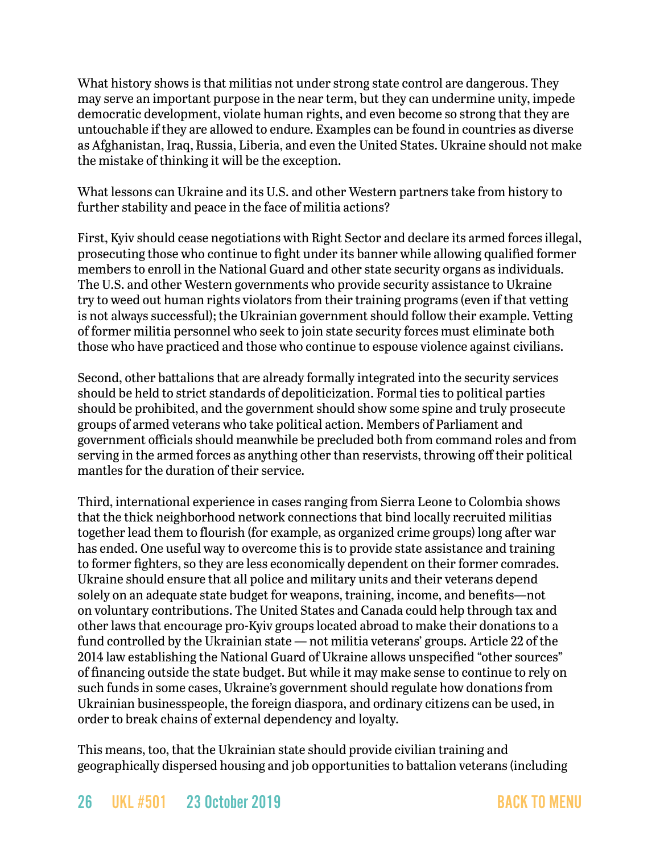What history shows is that militias not under strong state control are dangerous. They may serve an important purpose in the near term, but they can undermine unity, impede democratic development, violate human rights, and even become so strong that they are untouchable if they are allowed to endure. Examples can be found in countries as diverse as Afghanistan, Iraq, Russia, Liberia, and even the United States. Ukraine should not make the mistake of thinking it will be the exception.

What lessons can Ukraine and its U.S. and other Western partners take from history to further stability and peace in the face of militia actions?

First, Kyiv should cease negotiations with Right Sector and declare its armed forces illegal, prosecuting those who continue to fight under its banner while allowing qualified former members to enroll in the National Guard and other state security organs as individuals. The U.S. and other Western governments who provide security assistance to Ukraine try to weed out human rights violators from their training programs (even if that vetting is not always successful); the Ukrainian government should follow their example. Vetting of former militia personnel who seek to join state security forces must eliminate both those who have practiced and those who continue to espouse violence against civilians.

Second, other battalions that are already formally integrated into the security services should be held to strict standards of depoliticization. Formal ties to political parties should be prohibited, and the government should show some spine and truly prosecute groups of armed veterans who take political action. Members of Parliament and government officials should meanwhile be precluded both from command roles and from serving in the armed forces as anything other than reservists, throwing off their political mantles for the duration of their service.

Third, international experience in cases ranging from Sierra Leone to Colombia shows that the thick neighborhood network connections that bind locally recruited militias together lead them to flourish (for example, as organized crime groups) long after war has ended. One useful way to overcome this is to provide state assistance and training to former fighters, so they are less economically dependent on their former comrades. Ukraine should ensure that all police and military units and their veterans depend solely on an adequate state budget for weapons, training, income, and benefits—not on voluntary contributions. The United States and Canada could help through tax and other laws that encourage pro-Kyiv groups located abroad to make their donations to a fund controlled by the Ukrainian state — not militia veterans' groups. Article 22 of the 2014 law establishing the National Guard of Ukraine allows unspecified "other sources" of financing outside the state budget. But while it may make sense to continue to rely on such funds in some cases, Ukraine's government should regulate how donations from Ukrainian businesspeople, the foreign diaspora, and ordinary citizens can be used, in order to break chains of external dependency and loyalty.

This means, too, that the Ukrainian state should provide civilian training and geographically dispersed housing and job opportunities to battalion veterans (including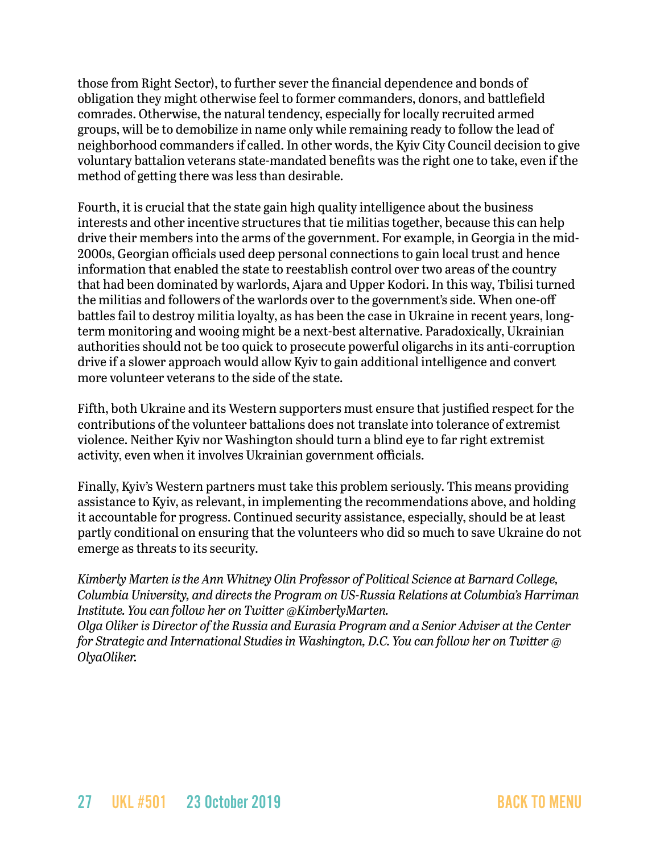those from Right Sector), to further sever the financial dependence and bonds of obligation they might otherwise feel to former commanders, donors, and battlefield comrades. Otherwise, the natural tendency, especially for locally recruited armed groups, will be to demobilize in name only while remaining ready to follow the lead of neighborhood commanders if called. In other words, the Kyiv City Council decision to give voluntary battalion veterans state-mandated benefits was the right one to take, even if the method of getting there was less than desirable.

Fourth, it is crucial that the state gain high quality intelligence about the business interests and other incentive structures that tie militias together, because this can help drive their members into the arms of the government. For example, in Georgia in the mid-2000s, Georgian officials used deep personal connections to gain local trust and hence information that enabled the state to reestablish control over two areas of the country that had been dominated by warlords, Ajara and Upper Kodori. In this way, Tbilisi turned the militias and followers of the warlords over to the government's side. When one-off battles fail to destroy militia loyalty, as has been the case in Ukraine in recent years, longterm monitoring and wooing might be a next-best alternative. Paradoxically, Ukrainian authorities should not be too quick to prosecute powerful oligarchs in its anti-corruption drive if a slower approach would allow Kyiv to gain additional intelligence and convert more volunteer veterans to the side of the state.

Fifth, both Ukraine and its Western supporters must ensure that justified respect for the contributions of the volunteer battalions does not translate into tolerance of extremist violence. Neither Kyiv nor Washington should turn a blind eye to far right extremist activity, even when it involves Ukrainian government officials.

Finally, Kyiv's Western partners must take this problem seriously. This means providing assistance to Kyiv, as relevant, in implementing the recommendations above, and holding it accountable for progress. Continued security assistance, especially, should be at least partly conditional on ensuring that the volunteers who did so much to save Ukraine do not emerge as threats to its security.

*Kimberly Marten is the Ann Whitney Olin Professor of Political Science at Barnard College, Columbia University, and directs the Program on US-Russia Relations at Columbia's Harriman Institute. You can follow her on Twitter @KimberlyMarten.* 

*Olga Oliker is Director of the Russia and Eurasia Program and a Senior Adviser at the Center for Strategic and International Studies in Washington, D.C. You can follow her on Twitter @ OlyaOliker.*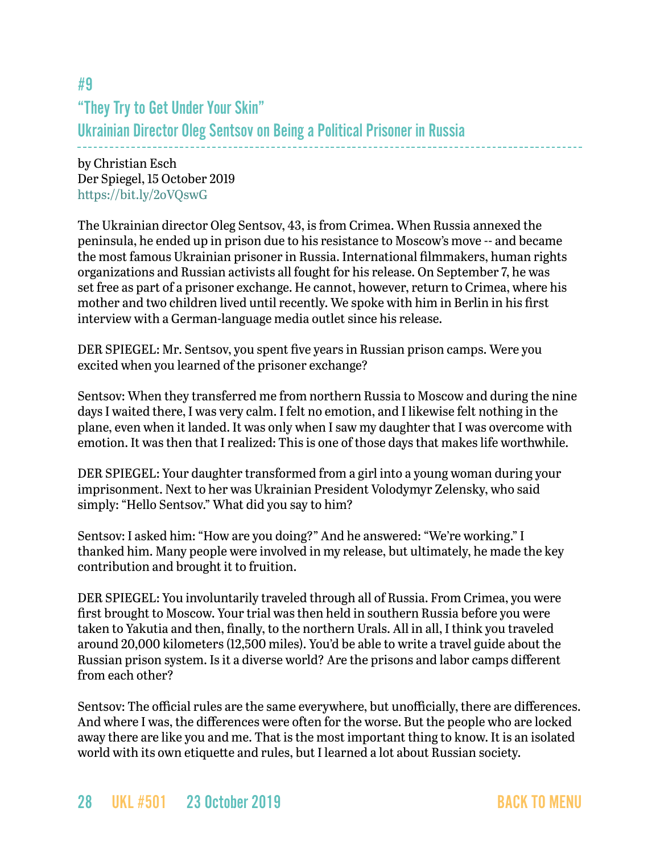# #9 "They Try to Get Under Your Skin" Ukrainian Director Oleg Sentsov on Being a Political Prisoner in Russia

by Christian Esch Der Spiegel, 15 October 2019 <https://bit.ly/2oVQswG>

The Ukrainian director Oleg Sentsov, 43, is from Crimea. When Russia annexed the peninsula, he ended up in prison due to his resistance to Moscow's move -- and became the most famous Ukrainian prisoner in Russia. International filmmakers, human rights organizations and Russian activists all fought for his release. On September 7, he was set free as part of a prisoner exchange. He cannot, however, return to Crimea, where his mother and two children lived until recently. We spoke with him in Berlin in his first interview with a German-language media outlet since his release.

DER SPIEGEL: Mr. Sentsov, you spent five years in Russian prison camps. Were you excited when you learned of the prisoner exchange?

Sentsov: When they transferred me from northern Russia to Moscow and during the nine days I waited there, I was very calm. I felt no emotion, and I likewise felt nothing in the plane, even when it landed. It was only when I saw my daughter that I was overcome with emotion. It was then that I realized: This is one of those days that makes life worthwhile.

DER SPIEGEL: Your daughter transformed from a girl into a young woman during your imprisonment. Next to her was Ukrainian President Volodymyr Zelensky, who said simply: "Hello Sentsov." What did you say to him?

Sentsov: I asked him: "How are you doing?" And he answered: "We're working." I thanked him. Many people were involved in my release, but ultimately, he made the key contribution and brought it to fruition.

DER SPIEGEL: You involuntarily traveled through all of Russia. From Crimea, you were first brought to Moscow. Your trial was then held in southern Russia before you were taken to Yakutia and then, finally, to the northern Urals. All in all, I think you traveled around 20,000 kilometers (12,500 miles). You'd be able to write a travel guide about the Russian prison system. Is it a diverse world? Are the prisons and labor camps different from each other?

Sentsov: The official rules are the same everywhere, but unofficially, there are differences. And where I was, the differences were often for the worse. But the people who are locked away there are like you and me. That is the most important thing to know. It is an isolated world with its own etiquette and rules, but I learned a lot about Russian society.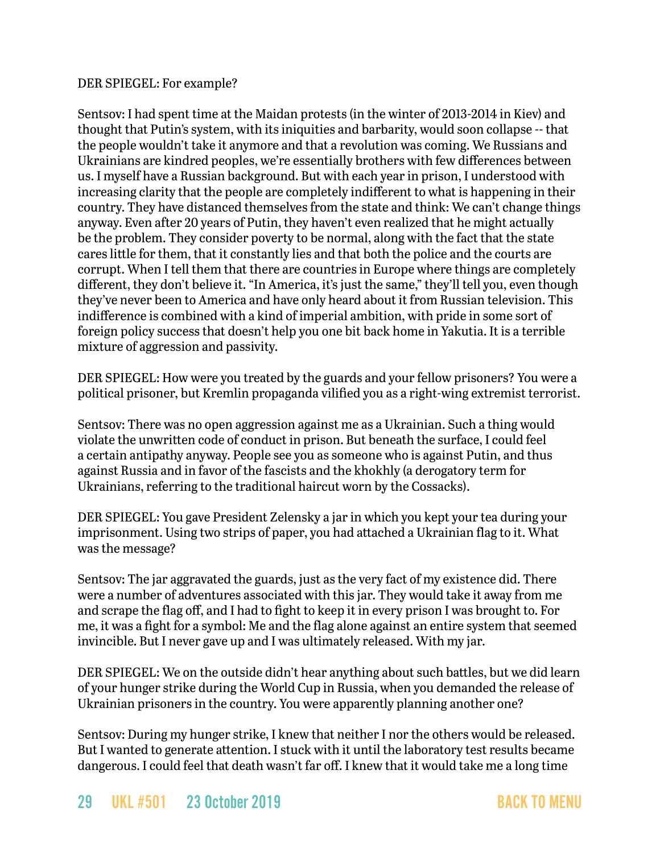#### DER SPIEGEL: For example?

Sentsov: I had spent time at the Maidan protests (in the winter of 2013-2014 in Kiev) and thought that Putin's system, with its iniquities and barbarity, would soon collapse -- that the people wouldn't take it anymore and that a revolution was coming. We Russians and Ukrainians are kindred peoples, we're essentially brothers with few differences between us. I myself have a Russian background. But with each year in prison, I understood with increasing clarity that the people are completely indifferent to what is happening in their country. They have distanced themselves from the state and think: We can't change things anyway. Even after 20 years of Putin, they haven't even realized that he might actually be the problem. They consider poverty to be normal, along with the fact that the state cares little for them, that it constantly lies and that both the police and the courts are corrupt. When I tell them that there are countries in Europe where things are completely different, they don't believe it. "In America, it's just the same," they'll tell you, even though they've never been to America and have only heard about it from Russian television. This indifference is combined with a kind of imperial ambition, with pride in some sort of foreign policy success that doesn't help you one bit back home in Yakutia. It is a terrible mixture of aggression and passivity.

DER SPIEGEL: How were you treated by the guards and your fellow prisoners? You were a political prisoner, but Kremlin propaganda vilified you as a right-wing extremist terrorist.

Sentsov: There was no open aggression against me as a Ukrainian. Such a thing would violate the unwritten code of conduct in prison. But beneath the surface, I could feel a certain antipathy anyway. People see you as someone who is against Putin, and thus against Russia and in favor of the fascists and the khokhly (a derogatory term for Ukrainians, referring to the traditional haircut worn by the Cossacks).

DER SPIEGEL: You gave President Zelensky a jar in which you kept your tea during your imprisonment. Using two strips of paper, you had attached a Ukrainian flag to it. What was the message?

Sentsov: The jar aggravated the guards, just as the very fact of my existence did. There were a number of adventures associated with this jar. They would take it away from me and scrape the flag off, and I had to fight to keep it in every prison I was brought to. For me, it was a fight for a symbol: Me and the flag alone against an entire system that seemed invincible. But I never gave up and I was ultimately released. With my jar.

DER SPIEGEL: We on the outside didn't hear anything about such battles, but we did learn of your hunger strike during the World Cup in Russia, when you demanded the release of Ukrainian prisoners in the country. You were apparently planning another one?

Sentsov: During my hunger strike, I knew that neither I nor the others would be released. But I wanted to generate attention. I stuck with it until the laboratory test results became dangerous. I could feel that death wasn't far off. I knew that it would take me a long time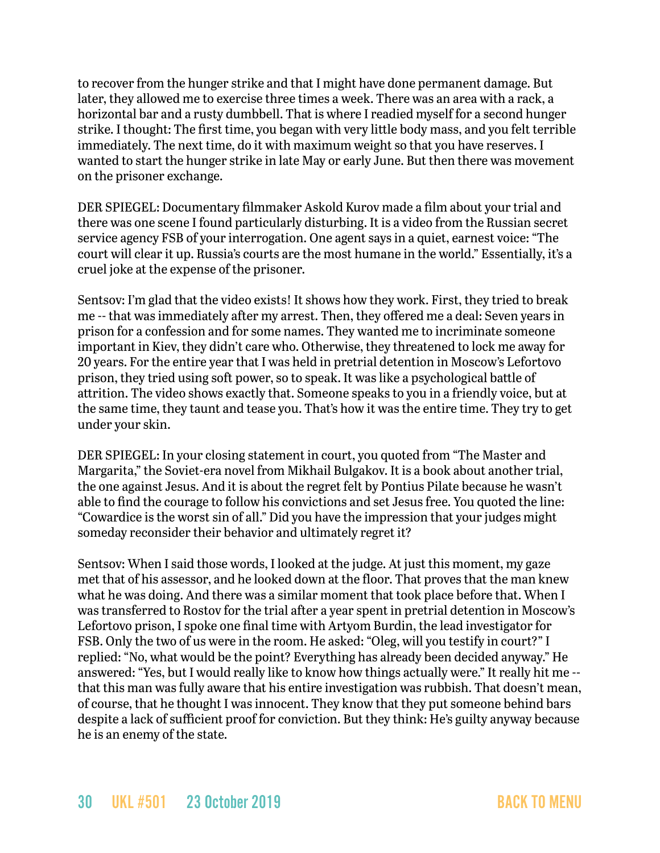to recover from the hunger strike and that I might have done permanent damage. But later, they allowed me to exercise three times a week. There was an area with a rack, a horizontal bar and a rusty dumbbell. That is where I readied myself for a second hunger strike. I thought: The first time, you began with very little body mass, and you felt terrible immediately. The next time, do it with maximum weight so that you have reserves. I wanted to start the hunger strike in late May or early June. But then there was movement on the prisoner exchange.

DER SPIEGEL: Documentary filmmaker Askold Kurov made a film about your trial and there was one scene I found particularly disturbing. It is a video from the Russian secret service agency FSB of your interrogation. One agent says in a quiet, earnest voice: "The court will clear it up. Russia's courts are the most humane in the world." Essentially, it's a cruel joke at the expense of the prisoner.

Sentsov: I'm glad that the video exists! It shows how they work. First, they tried to break me -- that was immediately after my arrest. Then, they offered me a deal: Seven years in prison for a confession and for some names. They wanted me to incriminate someone important in Kiev, they didn't care who. Otherwise, they threatened to lock me away for 20 years. For the entire year that I was held in pretrial detention in Moscow's Lefortovo prison, they tried using soft power, so to speak. It was like a psychological battle of attrition. The video shows exactly that. Someone speaks to you in a friendly voice, but at the same time, they taunt and tease you. That's how it was the entire time. They try to get under your skin.

DER SPIEGEL: In your closing statement in court, you quoted from "The Master and Margarita," the Soviet-era novel from Mikhail Bulgakov. It is a book about another trial, the one against Jesus. And it is about the regret felt by Pontius Pilate because he wasn't able to find the courage to follow his convictions and set Jesus free. You quoted the line: "Cowardice is the worst sin of all." Did you have the impression that your judges might someday reconsider their behavior and ultimately regret it?

Sentsov: When I said those words, I looked at the judge. At just this moment, my gaze met that of his assessor, and he looked down at the floor. That proves that the man knew what he was doing. And there was a similar moment that took place before that. When I was transferred to Rostov for the trial after a year spent in pretrial detention in Moscow's Lefortovo prison, I spoke one final time with Artyom Burdin, the lead investigator for FSB. Only the two of us were in the room. He asked: "Oleg, will you testify in court?" I replied: "No, what would be the point? Everything has already been decided anyway." He answered: "Yes, but I would really like to know how things actually were." It really hit me - that this man was fully aware that his entire investigation was rubbish. That doesn't mean, of course, that he thought I was innocent. They know that they put someone behind bars despite a lack of sufficient proof for conviction. But they think: He's guilty anyway because he is an enemy of the state.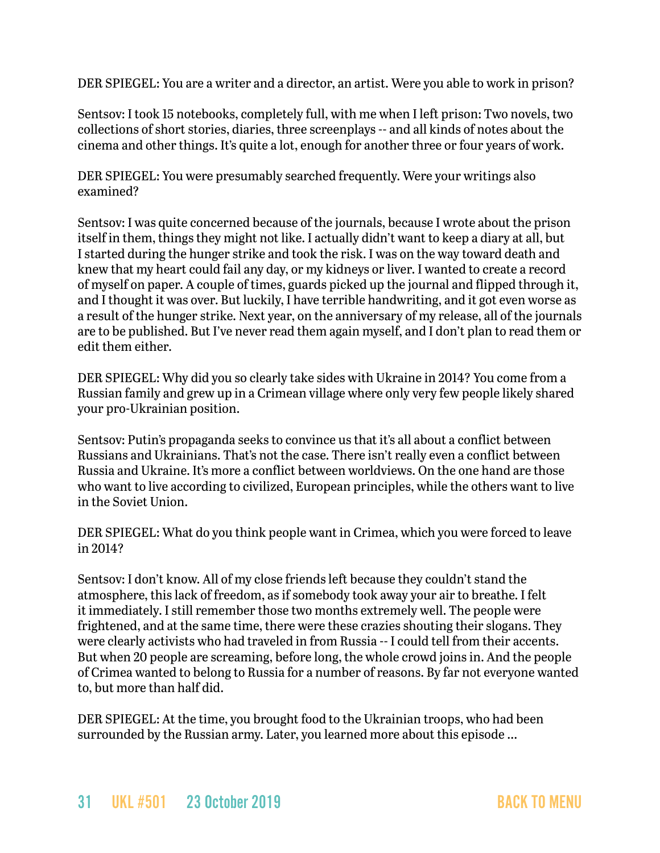DER SPIEGEL: You are a writer and a director, an artist. Were you able to work in prison?

Sentsov: I took 15 notebooks, completely full, with me when I left prison: Two novels, two collections of short stories, diaries, three screenplays -- and all kinds of notes about the cinema and other things. It's quite a lot, enough for another three or four years of work.

DER SPIEGEL: You were presumably searched frequently. Were your writings also examined?

Sentsov: I was quite concerned because of the journals, because I wrote about the prison itself in them, things they might not like. I actually didn't want to keep a diary at all, but I started during the hunger strike and took the risk. I was on the way toward death and knew that my heart could fail any day, or my kidneys or liver. I wanted to create a record of myself on paper. A couple of times, guards picked up the journal and flipped through it, and I thought it was over. But luckily, I have terrible handwriting, and it got even worse as a result of the hunger strike. Next year, on the anniversary of my release, all of the journals are to be published. But I've never read them again myself, and I don't plan to read them or edit them either.

DER SPIEGEL: Why did you so clearly take sides with Ukraine in 2014? You come from a Russian family and grew up in a Crimean village where only very few people likely shared your pro-Ukrainian position.

Sentsov: Putin's propaganda seeks to convince us that it's all about a conflict between Russians and Ukrainians. That's not the case. There isn't really even a conflict between Russia and Ukraine. It's more a conflict between worldviews. On the one hand are those who want to live according to civilized, European principles, while the others want to live in the Soviet Union.

DER SPIEGEL: What do you think people want in Crimea, which you were forced to leave in 2014?

Sentsov: I don't know. All of my close friends left because they couldn't stand the atmosphere, this lack of freedom, as if somebody took away your air to breathe. I felt it immediately. I still remember those two months extremely well. The people were frightened, and at the same time, there were these crazies shouting their slogans. They were clearly activists who had traveled in from Russia -- I could tell from their accents. But when 20 people are screaming, before long, the whole crowd joins in. And the people of Crimea wanted to belong to Russia for a number of reasons. By far not everyone wanted to, but more than half did.

DER SPIEGEL: At the time, you brought food to the Ukrainian troops, who had been surrounded by the Russian army. Later, you learned more about this episode ...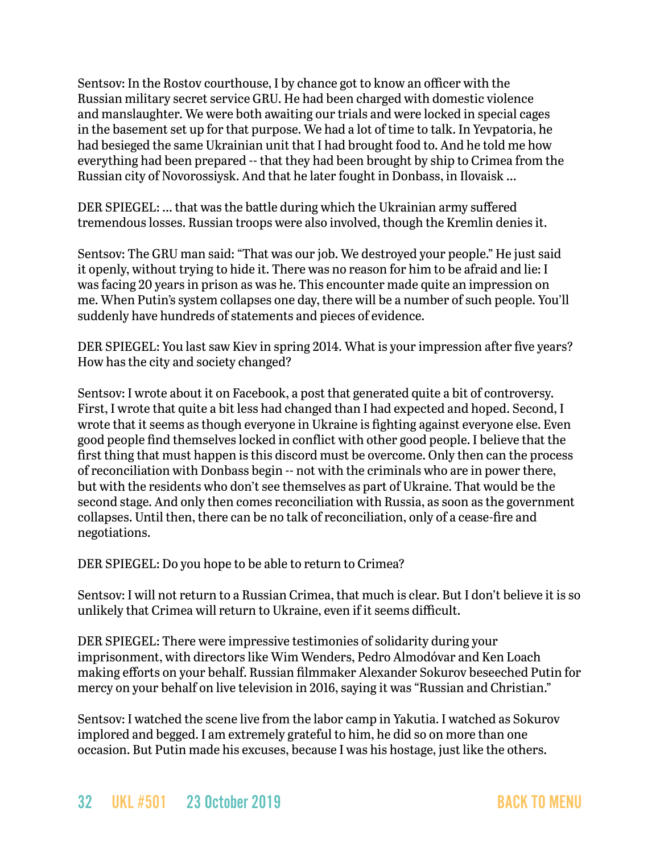Sentsov: In the Rostov courthouse, I by chance got to know an officer with the Russian military secret service GRU. He had been charged with domestic violence and manslaughter. We were both awaiting our trials and were locked in special cages in the basement set up for that purpose. We had a lot of time to talk. In Yevpatoria, he had besieged the same Ukrainian unit that I had brought food to. And he told me how everything had been prepared -- that they had been brought by ship to Crimea from the Russian city of Novorossiysk. And that he later fought in Donbass, in Ilovaisk ...

DER SPIEGEL: ... that was the battle during which the Ukrainian army suffered tremendous losses. Russian troops were also involved, though the Kremlin denies it.

Sentsov: The GRU man said: "That was our job. We destroyed your people." He just said it openly, without trying to hide it. There was no reason for him to be afraid and lie: I was facing 20 years in prison as was he. This encounter made quite an impression on me. When Putin's system collapses one day, there will be a number of such people. You'll suddenly have hundreds of statements and pieces of evidence.

DER SPIEGEL: You last saw Kiev in spring 2014. What is your impression after five years? How has the city and society changed?

Sentsov: I wrote about it on Facebook, a post that generated quite a bit of controversy. First, I wrote that quite a bit less had changed than I had expected and hoped. Second, I wrote that it seems as though everyone in Ukraine is fighting against everyone else. Even good people find themselves locked in conflict with other good people. I believe that the first thing that must happen is this discord must be overcome. Only then can the process of reconciliation with Donbass begin -- not with the criminals who are in power there, but with the residents who don't see themselves as part of Ukraine. That would be the second stage. And only then comes reconciliation with Russia, as soon as the government collapses. Until then, there can be no talk of reconciliation, only of a cease-fire and negotiations.

DER SPIEGEL: Do you hope to be able to return to Crimea?

Sentsov: I will not return to a Russian Crimea, that much is clear. But I don't believe it is so unlikely that Crimea will return to Ukraine, even if it seems difficult.

DER SPIEGEL: There were impressive testimonies of solidarity during your imprisonment, with directors like Wim Wenders, Pedro Almodóvar and Ken Loach making efforts on your behalf. Russian filmmaker Alexander Sokurov beseeched Putin for mercy on your behalf on live television in 2016, saying it was "Russian and Christian."

Sentsov: I watched the scene live from the labor camp in Yakutia. I watched as Sokurov implored and begged. I am extremely grateful to him, he did so on more than one occasion. But Putin made his excuses, because I was his hostage, just like the others.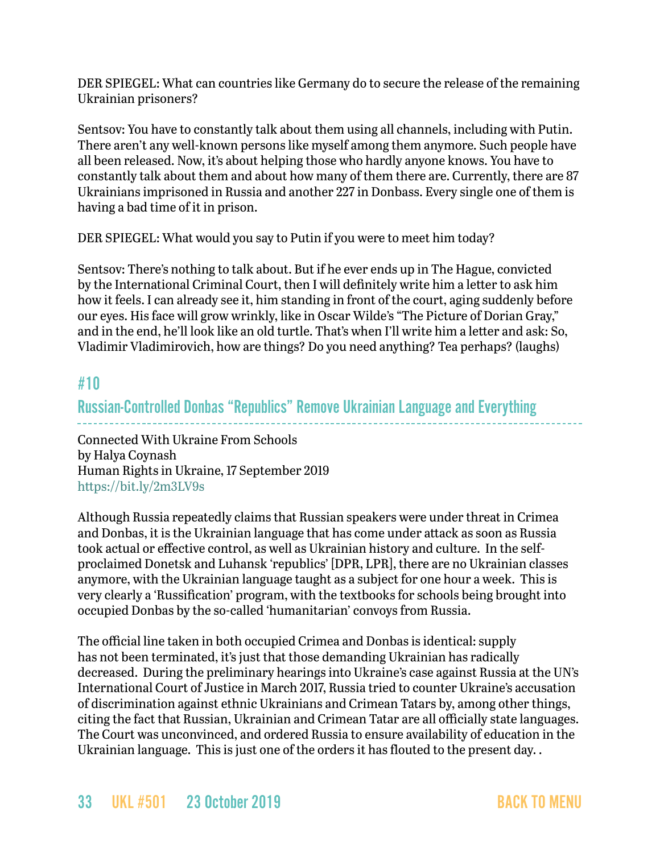DER SPIEGEL: What can countries like Germany do to secure the release of the remaining Ukrainian prisoners?

Sentsov: You have to constantly talk about them using all channels, including with Putin. There aren't any well-known persons like myself among them anymore. Such people have all been released. Now, it's about helping those who hardly anyone knows. You have to constantly talk about them and about how many of them there are. Currently, there are 87 Ukrainians imprisoned in Russia and another 227 in Donbass. Every single one of them is having a bad time of it in prison.

DER SPIEGEL: What would you say to Putin if you were to meet him today?

Sentsov: There's nothing to talk about. But if he ever ends up in The Hague, convicted by the International Criminal Court, then I will definitely write him a letter to ask him how it feels. I can already see it, him standing in front of the court, aging suddenly before our eyes. His face will grow wrinkly, like in Oscar Wilde's "The Picture of Dorian Gray," and in the end, he'll look like an old turtle. That's when I'll write him a letter and ask: So, Vladimir Vladimirovich, how are things? Do you need anything? Tea perhaps? (laughs)

# #10

Russian-Controlled Donbas "Republics" Remove Ukrainian Language and Everything

Connected With Ukraine From Schools by Halya Coynash Human Rights in Ukraine, 17 September 2019 <https://bit.ly/2m3LV9s>

Although Russia repeatedly claims that Russian speakers were under threat in Crimea and Donbas, it is the Ukrainian language that has come under attack as soon as Russia took actual or effective control, as well as Ukrainian history and culture. In the selfproclaimed Donetsk and Luhansk 'republics' [DPR, LPR], there are no Ukrainian classes anymore, with the Ukrainian language taught as a subject for one hour a week. This is very clearly a 'Russification' program, with the textbooks for schools being brought into occupied Donbas by the so-called 'humanitarian' convoys from Russia.

The official line taken in both occupied Crimea and Donbas is identical: supply has not been terminated, it's just that those demanding Ukrainian has radically decreased. During the preliminary hearings into Ukraine's case against Russia at the UN's International Court of Justice in March 2017, Russia tried to counter Ukraine's accusation of discrimination against ethnic Ukrainians and Crimean Tatars by, among other things, citing the fact that Russian, Ukrainian and Crimean Tatar are all officially state languages. The Court was unconvinced, and ordered Russia to ensure availability of education in the Ukrainian language. This is just one of the orders it has flouted to the present day. .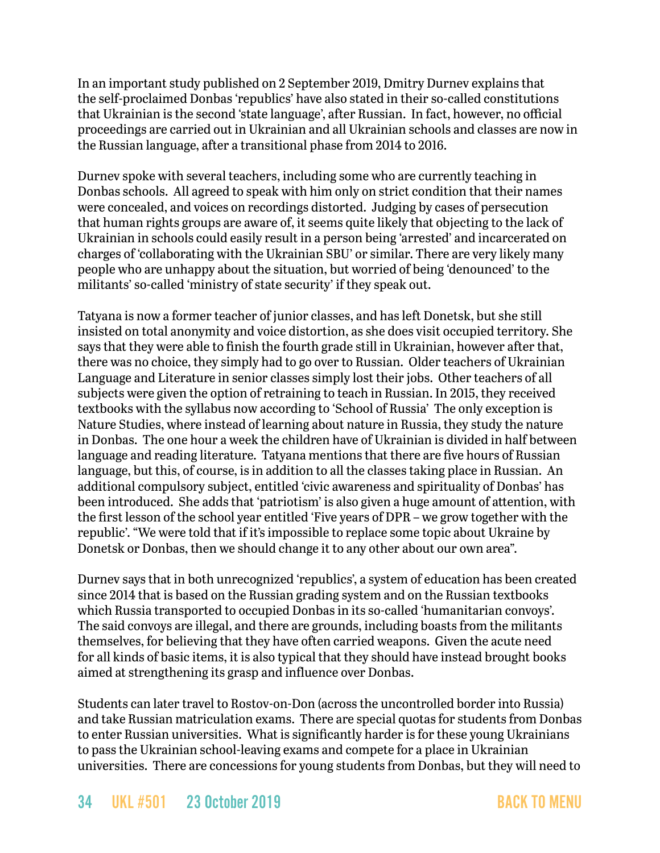In an important study published on 2 September 2019, Dmitry Durnev explains that the self-proclaimed Donbas 'republics' have also stated in their so-called constitutions that Ukrainian is the second 'state language', after Russian. In fact, however, no official proceedings are carried out in Ukrainian and all Ukrainian schools and classes are now in the Russian language, after a transitional phase from 2014 to 2016.

Durnev spoke with several teachers, including some who are currently teaching in Donbas schools. All agreed to speak with him only on strict condition that their names were concealed, and voices on recordings distorted. Judging by cases of persecution that human rights groups are aware of, it seems quite likely that objecting to the lack of Ukrainian in schools could easily result in a person being 'arrested' and incarcerated on charges of 'collaborating with the Ukrainian SBU' or similar. There are very likely many people who are unhappy about the situation, but worried of being 'denounced' to the militants' so-called 'ministry of state security' if they speak out.

Tatyana is now a former teacher of junior classes, and has left Donetsk, but she still insisted on total anonymity and voice distortion, as she does visit occupied territory. [She](https://www.youtube.com/watch?v=htW6oebGii0)  [says](https://www.youtube.com/watch?v=htW6oebGii0) that they were able to finish the fourth grade still in Ukrainian, however after that, there was no choice, they simply had to go over to Russian. Older teachers of Ukrainian Language and Literature in senior classes simply lost their jobs. Other teachers of all subjects were given the option of retraining to teach in Russian. In 2015, they received textbooks with the syllabus now according to 'School of Russia' The only exception is Nature Studies, where instead of learning about nature in Russia, they study the nature in Donbas. The one hour a week the children have of Ukrainian is divided in half between language and reading literature. Tatyana mentions that there are five hours of Russian language, but this, of course, is in addition to all the classes taking place in Russian. An additional compulsory subject, entitled 'civic awareness and spirituality of Donbas' has been introduced. She adds that 'patriotism' is also given a huge amount of attention, with the first lesson of the school year entitled 'Five years of DPR – we grow together with the republic'. "We were told that if it's impossible to replace some topic about Ukraine by Donetsk or Donbas, then we should change it to any other about our own area".

Durnev says that in both unrecognized 'republics', a system of education has been created since 2014 that is based on the Russian grading system and on the Russian textbooks which Russia transported to occupied Donbas in its so-called 'humanitarian convoys'. The said convoys are illegal, and there are grounds, including boasts from the militants themselves, for believing that they have often carried weapons. Given the acute need for all kinds of basic items, it is also typical that they should have instead brought books aimed at strengthening its grasp and influence over Donbas.

Students can later travel to Rostov-on-Don (across the uncontrolled border into Russia) and take Russian matriculation exams. There are special quotas for students from Donbas to enter Russian universities. What is significantly harder is for these young Ukrainians to pass the Ukrainian school-leaving exams and compete for a place in Ukrainian universities. There are concessions for young students from Donbas, but they will need to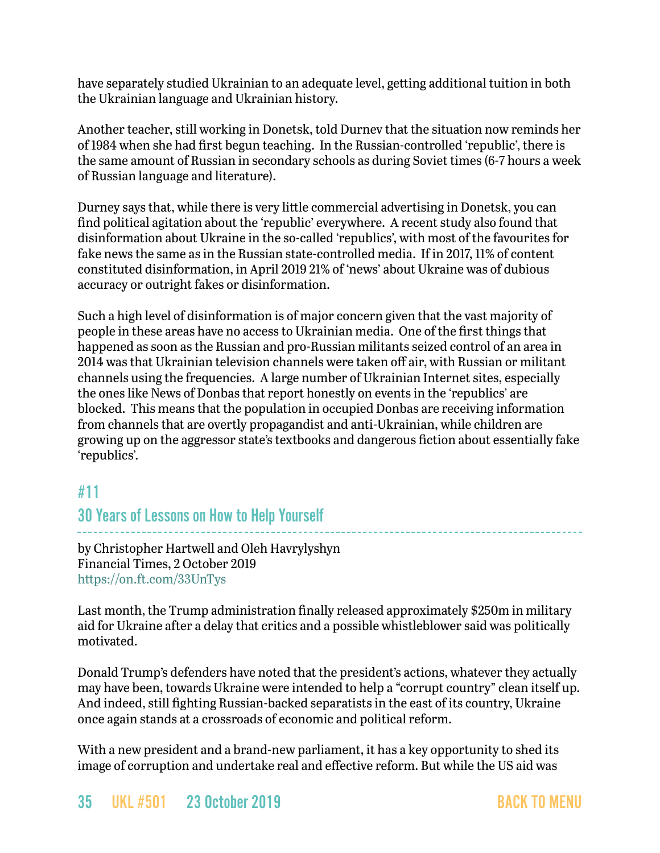have separately studied Ukrainian to an adequate level, getting additional tuition in both the Ukrainian language and Ukrainian history.

Another teacher, still working in Donetsk, told Durnev that the situation now reminds her of 1984 when she had first begun teaching. In the Russian-controlled 'republic', there is the same amount of Russian in secondary schools as during Soviet times (6-7 hours a week of Russian language and literature).

Durney says that, while there is very little commercial advertising in Donetsk, you can find political agitation about the 'republic' everywhere. A recent study also found that disinformation about Ukraine in the so-called 'republics', with most of the favourites for fake news the same as in the Russian state-controlled media. If in 2017, 11% of content constituted disinformation, in April 2019 21% of 'news' about Ukraine was of dubious accuracy or outright fakes or disinformation.

Such a high level of disinformation is of major concern given that the vast majority of people in these areas have no access to Ukrainian media. One of the first things that happened as soon as the Russian and pro-Russian militants seized control of an area in 2014 was that Ukrainian television channels were taken off air, with Russian or militant channels using the frequencies. A large number of Ukrainian Internet sites, especially the ones like News of Donbas that report honestly on events in the 'republics' are blocked. This means that the population in occupied Donbas are receiving information from channels that are overtly propagandist and anti-Ukrainian, while children are growing up on the aggressor state's textbooks and dangerous fiction about essentially fake 'republics'.

# <span id="page-34-0"></span>#11

# 30 Years of Lessons on How to Help Yourself

by Christopher Hartwell and Oleh Havrylyshyn Financial Times, 2 October 2019 <https://on.ft.com/33UnTys>

Last month, the Trump administration finally released approximately \$250m in military aid for Ukraine after a delay that critics and a possible whistleblower said was politically motivated.

Donald Trump's defenders have noted that the president's actions, whatever they actually may have been, towards Ukraine were intended to help a "corrupt country" clean itself up. And indeed, still fighting Russian-backed separatists in the east of its country, Ukraine once again stands at a crossroads of economic and political reform.

With a new president and a brand-new parliament, it has a key opportunity to shed its image of corruption and undertake real and effective reform. But while the US aid was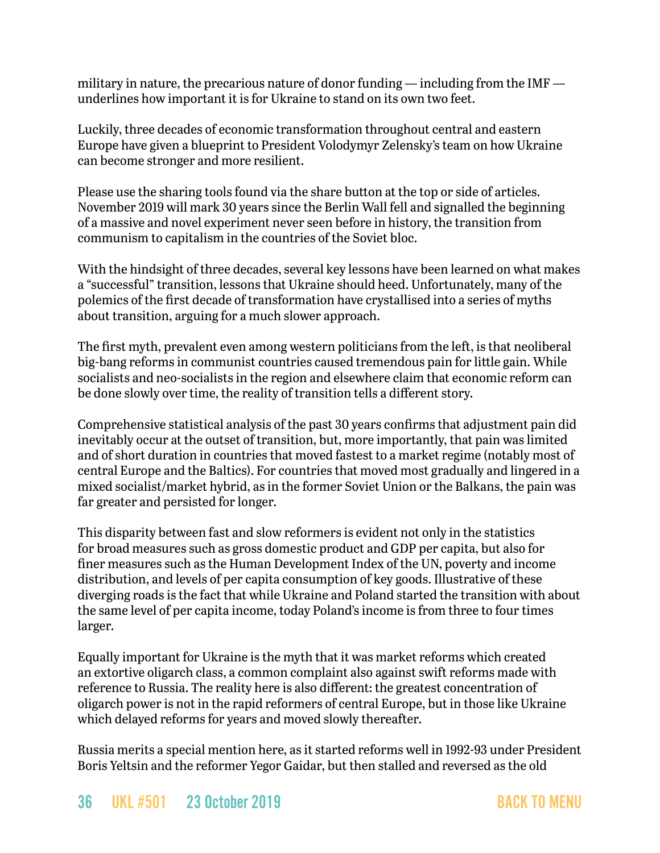military in nature, the precarious nature of donor funding — including from the IMF underlines how important it is for Ukraine to stand on its own two feet.

Luckily, three decades of economic transformation throughout central and eastern Europe have given a blueprint to President Volodymyr Zelensky's team on how Ukraine can become stronger and more resilient.

Please use the sharing tools found via the share button at the top or side of articles. November 2019 will mark 30 years since the Berlin Wall fell and signalled the beginning of a massive and novel experiment never seen before in history, the transition from communism to capitalism in the countries of the Soviet bloc.

With the hindsight of three decades, several key lessons have been learned on what makes a "successful" transition, lessons that Ukraine should heed. Unfortunately, many of the polemics of the first decade of transformation have crystallised into a series of myths about transition, arguing for a much slower approach.

The first myth, prevalent even among western politicians from the left, is that neoliberal big-bang reforms in communist countries caused tremendous pain for little gain. While socialists and neo-socialists in the region and elsewhere claim that economic reform can be done slowly over time, the reality of transition tells a different story.

Comprehensive statistical analysis of the past 30 years confirms that adjustment pain did inevitably occur at the outset of transition, but, more importantly, that pain was limited and of short duration in countries that moved fastest to a market regime (notably most of central Europe and the Baltics). For countries that moved most gradually and lingered in a mixed socialist/market hybrid, as in the former Soviet Union or the Balkans, the pain was far greater and persisted for longer.

This disparity between fast and slow reformers is evident not only in the statistics for broad measures such as gross domestic product and GDP per capita, but also for finer measures such as the Human Development Index of the UN, poverty and income distribution, and levels of per capita consumption of key goods. Illustrative of these diverging roads is the fact that while Ukraine and Poland started the transition with about the same level of per capita income, today Poland's income is from three to four times larger.

Equally important for Ukraine is the myth that it was market reforms which created an extortive oligarch class, a common complaint also against swift reforms made with reference to Russia. The reality here is also different: the greatest concentration of oligarch power is not in the rapid reformers of central Europe, but in those like Ukraine which delayed reforms for years and moved slowly thereafter.

Russia merits a special mention here, as it started reforms well in 1992-93 under President Boris Yeltsin and the reformer Yegor Gaidar, but then stalled and reversed as the old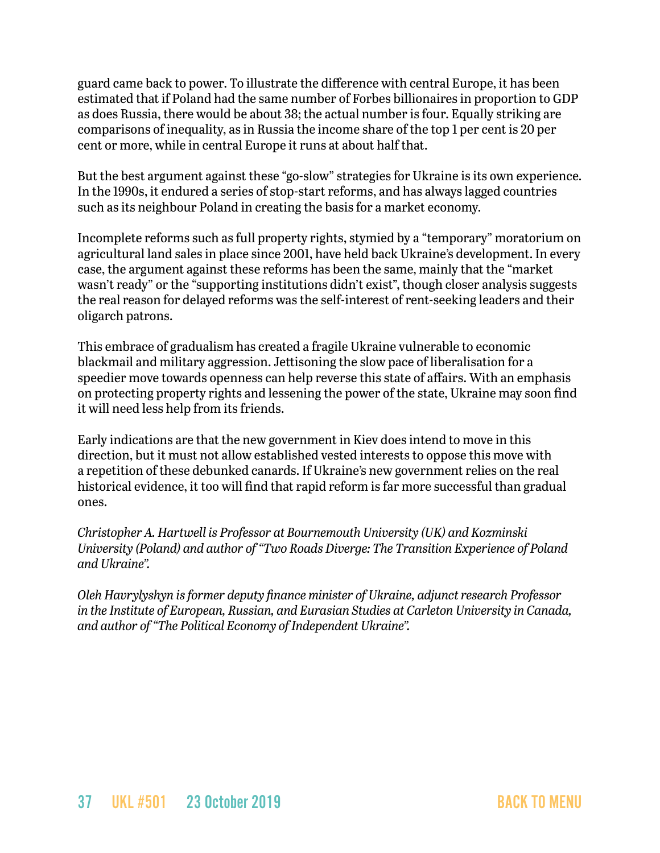guard came back to power. To illustrate the difference with central Europe, it has been estimated that if Poland had the same number of Forbes billionaires in proportion to GDP as does Russia, there would be about 38; the actual number is four. Equally striking are comparisons of inequality, as in Russia the income share of the top 1 per cent is 20 per cent or more, while in central Europe it runs at about half that.

But the best argument against these "go-slow" strategies for Ukraine is its own experience. In the 1990s, it endured a series of stop-start reforms, and has always lagged countries such as its neighbour Poland in creating the basis for a market economy.

Incomplete reforms such as full property rights, stymied by a "temporary" moratorium on agricultural land sales in place since 2001, have held back Ukraine's development. In every case, the argument against these reforms has been the same, mainly that the "market wasn't ready" or the "supporting institutions didn't exist", though closer analysis suggests the real reason for delayed reforms was the self-interest of rent-seeking leaders and their oligarch patrons.

This embrace of gradualism has created a fragile Ukraine vulnerable to economic blackmail and military aggression. Jettisoning the slow pace of liberalisation for a speedier move towards openness can help reverse this state of affairs. With an emphasis on protecting property rights and lessening the power of the state, Ukraine may soon find it will need less help from its friends.

Early indications are that the new government in Kiev does intend to move in this direction, but it must not allow established vested interests to oppose this move with a repetition of these debunked canards. If Ukraine's new government relies on the real historical evidence, it too will find that rapid reform is far more successful than gradual ones.

*Christopher A. Hartwell is Professor at Bournemouth University (UK) and Kozminski University (Poland) and author of "Two Roads Diverge: The Transition Experience of Poland and Ukraine".* 

*Oleh Havrylyshyn is former deputy finance minister of Ukraine, adjunct research Professor in the Institute of European, Russian, and Eurasian Studies at Carleton University in Canada, and author of "The Political Economy of Independent Ukraine".*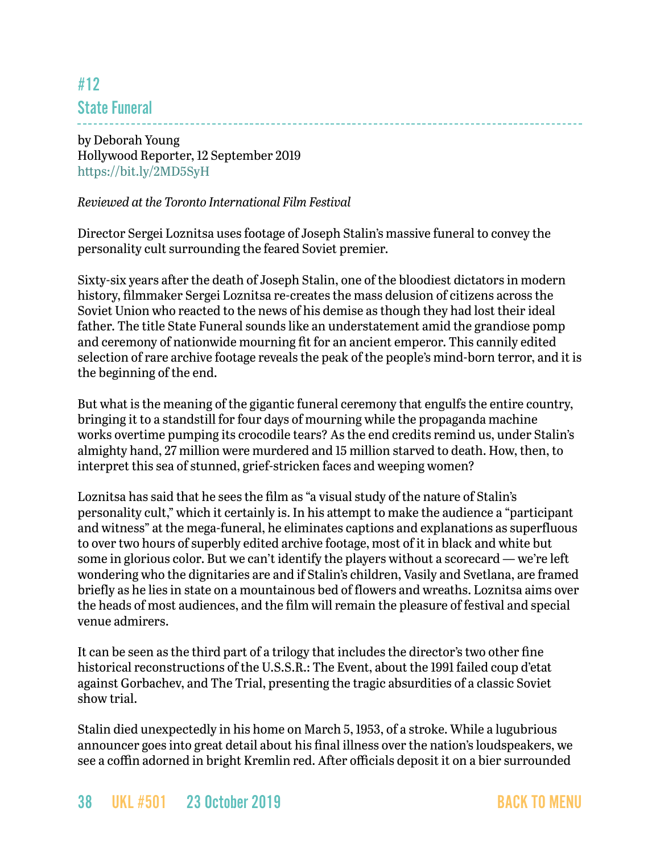# <span id="page-37-0"></span>#12 State Funeral

by Deborah Young Hollywood Reporter, 12 September 2019 <https://bit.ly/2MD5SyH>

#### *Reviewed at the Toronto International Film Festival*

Director Sergei Loznitsa uses footage of Joseph Stalin's massive funeral to convey the personality cult surrounding the feared Soviet premier.

Sixty-six years after the death of Joseph Stalin, one of the bloodiest dictators in modern history, filmmaker Sergei Loznitsa re-creates the mass delusion of citizens across the Soviet Union who reacted to the news of his demise as though they had lost their ideal father. The title State Funeral sounds like an understatement amid the grandiose pomp and ceremony of nationwide mourning fit for an ancient emperor. This cannily edited selection of rare archive footage reveals the peak of the people's mind-born terror, and it is the beginning of the end.

But what is the meaning of the gigantic funeral ceremony that engulfs the entire country, bringing it to a standstill for four days of mourning while the propaganda machine works overtime pumping its crocodile tears? As the end credits remind us, under Stalin's almighty hand, 27 million were murdered and 15 million starved to death. How, then, to interpret this sea of stunned, grief-stricken faces and weeping women?

Loznitsa has said that he sees the film as "a visual study of the nature of Stalin's personality cult," which it certainly is. In his attempt to make the audience a "participant and witness" at the mega-funeral, he eliminates captions and explanations as superfluous to over two hours of superbly edited archive footage, most of it in black and white but some in glorious color. But we can't identify the players without a scorecard — we're left wondering who the dignitaries are and if Stalin's children, Vasily and Svetlana, are framed briefly as he lies in state on a mountainous bed of flowers and wreaths. Loznitsa aims over the heads of most audiences, and the film will remain the pleasure of festival and special venue admirers.

It can be seen as the third part of a trilogy that includes the director's two other fine historical reconstructions of the U.S.S.R.: The Event, about the 1991 failed coup d'etat against Gorbachev, and The Trial, presenting the tragic absurdities of a classic Soviet show trial.

Stalin died unexpectedly in his home on March 5, 1953, of a stroke. While a lugubrious announcer goes into great detail about his final illness over the nation's loudspeakers, we see a coffin adorned in bright Kremlin red. After officials deposit it on a bier surrounded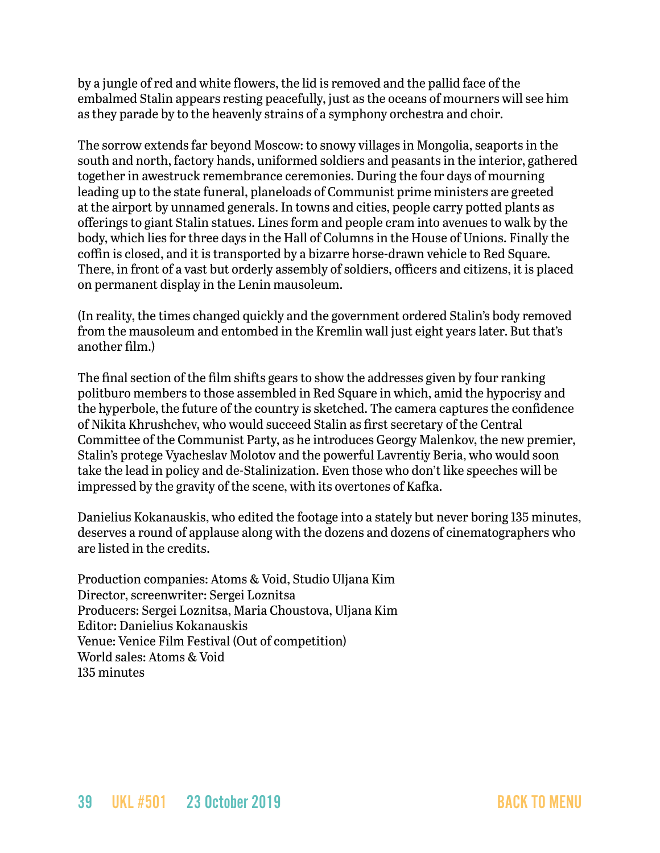by a jungle of red and white flowers, the lid is removed and the pallid face of the embalmed Stalin appears resting peacefully, just as the oceans of mourners will see him as they parade by to the heavenly strains of a symphony orchestra and choir.

The sorrow extends far beyond Moscow: to snowy villages in Mongolia, seaports in the south and north, factory hands, uniformed soldiers and peasants in the interior, gathered together in awestruck remembrance ceremonies. During the four days of mourning leading up to the state funeral, planeloads of Communist prime ministers are greeted at the airport by unnamed generals. In towns and cities, people carry potted plants as offerings to giant Stalin statues. Lines form and people cram into avenues to walk by the body, which lies for three days in the Hall of Columns in the House of Unions. Finally the coffin is closed, and it is transported by a bizarre horse-drawn vehicle to Red Square. There, in front of a vast but orderly assembly of soldiers, officers and citizens, it is placed on permanent display in the Lenin mausoleum.

(In reality, the times changed quickly and the government ordered Stalin's body removed from the mausoleum and entombed in the Kremlin wall just eight years later. But that's another film.)

The final section of the film shifts gears to show the addresses given by four ranking politburo members to those assembled in Red Square in which, amid the hypocrisy and the hyperbole, the future of the country is sketched. The camera captures the confidence of Nikita Khrushchev, who would succeed Stalin as first secretary of the Central Committee of the Communist Party, as he introduces Georgy Malenkov, the new premier, Stalin's protege Vyacheslav Molotov and the powerful Lavrentiy Beria, who would soon take the lead in policy and de-Stalinization. Even those who don't like speeches will be impressed by the gravity of the scene, with its overtones of Kafka.

Danielius Kokanauskis, who edited the footage into a stately but never boring 135 minutes, deserves a round of applause along with the dozens and dozens of cinematographers who are listed in the credits.

Production companies: Atoms & Void, Studio Uljana Kim Director, screenwriter: Sergei Loznitsa Producers: Sergei Loznitsa, Maria Choustova, Uljana Kim Editor: Danielius Kokanauskis Venue: Venice Film Festival (Out of competition) World sales: Atoms & Void 135 minutes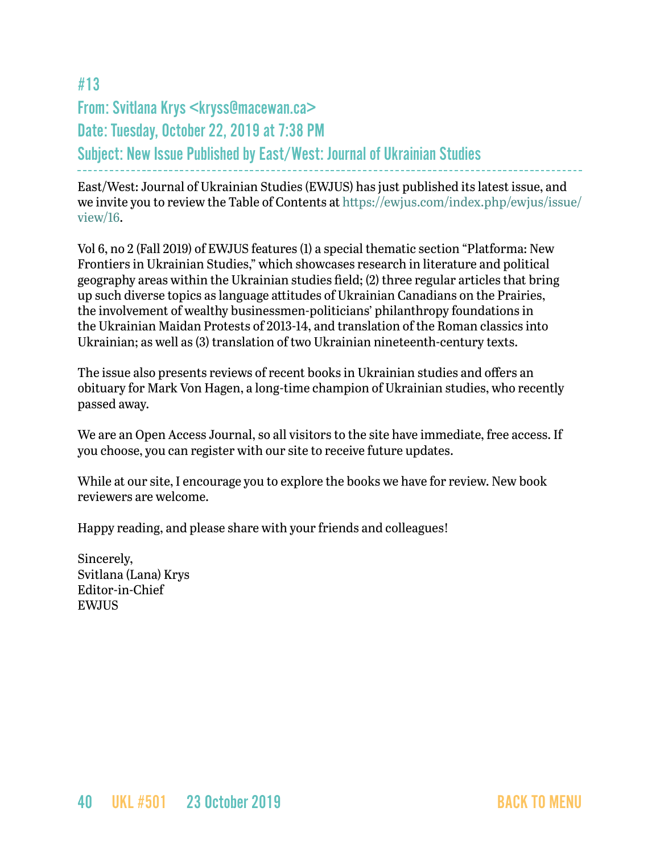# <span id="page-39-0"></span>#13 From: Svitlana Krys <kryss@macewan.ca> Date: Tuesday, October 22, 2019 at 7:38 PM Subject: New Issue Published by East/West: Journal of Ukrainian Studies

East/West: Journal of Ukrainian Studies (EWJUS) has just published its latest issue, and we invite you to review the Table of Contents at [https://ewjus.com/index.php/ewjus/issue/](https://ewjus.com/index.php/ewjus/issue/view/16) [view/16](https://ewjus.com/index.php/ewjus/issue/view/16).

Vol 6, no 2 (Fall 2019) of EWJUS features (1) a special thematic section "Platforma: New Frontiers in Ukrainian Studies," which showcases research in literature and political geography areas within the Ukrainian studies field; (2) three regular articles that bring up such diverse topics as language attitudes of Ukrainian Canadians on the Prairies, the involvement of wealthy businessmen-politicians' philanthropy foundations in the Ukrainian Maidan Protests of 2013-14, and translation of the Roman classics into Ukrainian; as well as (3) translation of two Ukrainian nineteenth-century texts.

The issue also presents reviews of recent books in Ukrainian studies and offers an obituary for Mark Von Hagen, a long-time champion of Ukrainian studies, who recently passed away.

We are an Open Access Journal, so all visitors to the site have immediate, free access. If you choose, you can register with our site to receive future updates.

While at our site, I encourage you to explore the books we have for review. New book reviewers are welcome.

Happy reading, and please share with your friends and colleagues!

Sincerely, Svitlana (Lana) Krys Editor-in-Chief EWJUS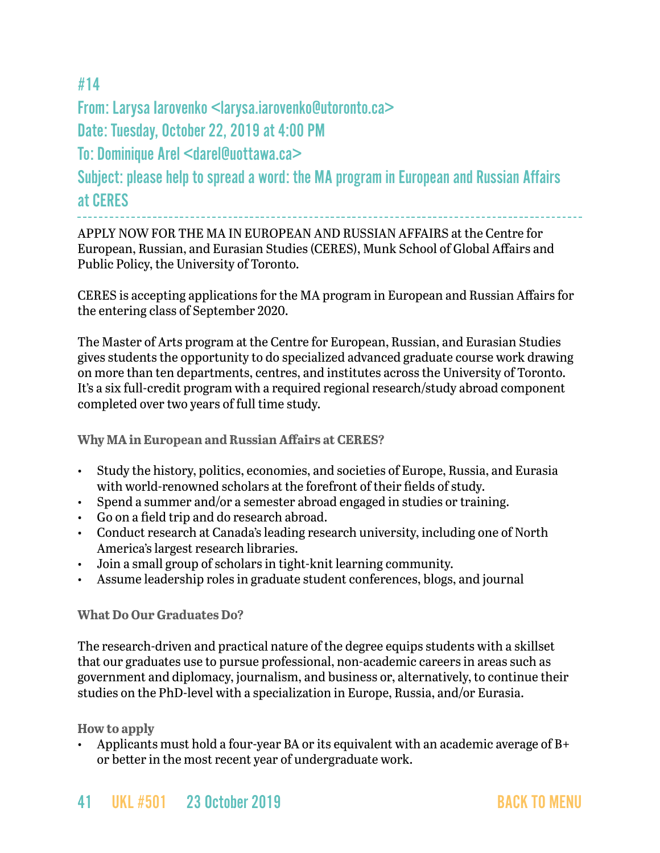# <span id="page-40-0"></span>#14

From: Larysa Iarovenko <larysa.iarovenko@utoronto.ca>

Date: Tuesday, October 22, 2019 at 4:00 PM

To: Dominique Arel <darel@uottawa.ca>

Subject: please help to spread a word: the MA program in European and Russian Affairs at CERES

APPLY NOW FOR THE MA IN EUROPEAN AND RUSSIAN AFFAIRS at the Centre for European, Russian, and Eurasian Studies (CERES), Munk School of Global Affairs and Public Policy, the University of Toronto.

CERES is accepting applications for the MA program in European and Russian Affairs for the entering class of September 2020.

The Master of Arts program at the Centre for European, Russian, and Eurasian Studies gives students the opportunity to do specialized advanced graduate course work drawing on more than ten departments, centres, and institutes across the University of Toronto. It's a six full-credit program with a required regional research/study abroad component completed over two years of full time study.

**Why MA in European and Russian Affairs at CERES?**

- Study the history, politics, economies, and societies of Europe, Russia, and Eurasia with world-renowned scholars at the forefront of their fields of study.
- Spend a summer and/or a semester abroad engaged in studies or training.
- Go on a field trip and do research abroad.
- Conduct research at Canada's leading research university, including one of North America's largest research libraries.
- Join a small group of scholars in tight-knit learning community.
- Assume leadership roles in graduate student conferences, blogs, and journal

#### **What Do Our Graduates Do?**

The research-driven and practical nature of the degree equips students with a skillset that our graduates use to pursue professional, non-academic careers in areas such as government and diplomacy, journalism, and business or, alternatively, to continue their studies on the PhD-level with a specialization in Europe, Russia, and/or Eurasia.

**How to apply**

• Applicants must hold a four-year BA or its equivalent with an academic average of B+ or better in the most recent year of undergraduate work.